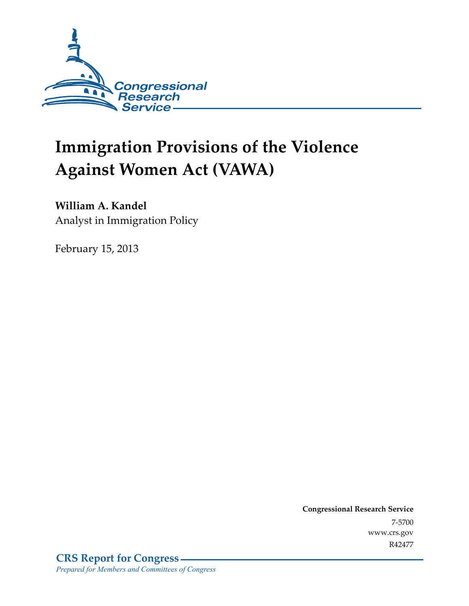

# **Immigration Provisions of the Violence Against Women Act (VAWA)**

## **William A. Kandel**

Analyst in Immigration Policy

February 15, 2013

**Congressional Research Service**  7-5700 www.crs.gov R42477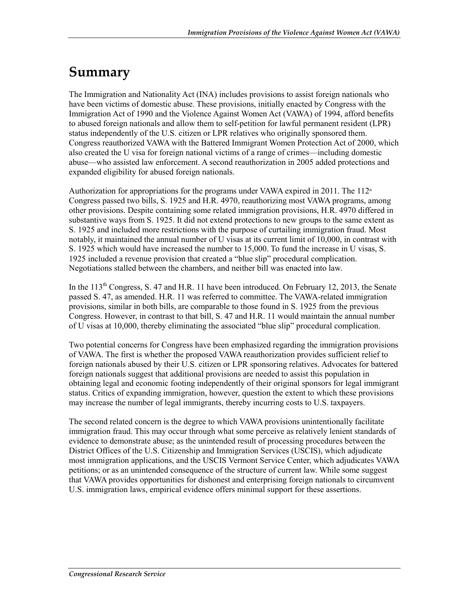## **Summary**

The Immigration and Nationality Act (INA) includes provisions to assist foreign nationals who have been victims of domestic abuse. These provisions, initially enacted by Congress with the Immigration Act of 1990 and the Violence Against Women Act (VAWA) of 1994, afford benefits to abused foreign nationals and allow them to self-petition for lawful permanent resident (LPR) status independently of the U.S. citizen or LPR relatives who originally sponsored them. Congress reauthorized VAWA with the Battered Immigrant Women Protection Act of 2000, which also created the U visa for foreign national victims of a range of crimes—including domestic abuse—who assisted law enforcement. A second reauthorization in 2005 added protections and expanded eligibility for abused foreign nationals.

Authorization for appropriations for the programs under VAWA expired in 2011. The  $112<sup>th</sup>$ Congress passed two bills, S. 1925 and H.R. 4970, reauthorizing most VAWA programs, among other provisions. Despite containing some related immigration provisions, H.R. 4970 differed in substantive ways from S. 1925. It did not extend protections to new groups to the same extent as S. 1925 and included more restrictions with the purpose of curtailing immigration fraud. Most notably, it maintained the annual number of U visas at its current limit of 10,000, in contrast with S. 1925 which would have increased the number to 15,000. To fund the increase in U visas, S. 1925 included a revenue provision that created a "blue slip" procedural complication. Negotiations stalled between the chambers, and neither bill was enacted into law.

In the  $113<sup>th</sup>$  Congress, S. 47 and H.R. 11 have been introduced. On February 12, 2013, the Senate passed S. 47, as amended. H.R. 11 was referred to committee. The VAWA-related immigration provisions, similar in both bills, are comparable to those found in S. 1925 from the previous Congress. However, in contrast to that bill, S. 47 and H.R. 11 would maintain the annual number of U visas at 10,000, thereby eliminating the associated "blue slip" procedural complication.

Two potential concerns for Congress have been emphasized regarding the immigration provisions of VAWA. The first is whether the proposed VAWA reauthorization provides sufficient relief to foreign nationals abused by their U.S. citizen or LPR sponsoring relatives. Advocates for battered foreign nationals suggest that additional provisions are needed to assist this population in obtaining legal and economic footing independently of their original sponsors for legal immigrant status. Critics of expanding immigration, however, question the extent to which these provisions may increase the number of legal immigrants, thereby incurring costs to U.S. taxpayers.

The second related concern is the degree to which VAWA provisions unintentionally facilitate immigration fraud. This may occur through what some perceive as relatively lenient standards of evidence to demonstrate abuse; as the unintended result of processing procedures between the District Offices of the U.S. Citizenship and Immigration Services (USCIS), which adjudicate most immigration applications, and the USCIS Vermont Service Center, which adjudicates VAWA petitions; or as an unintended consequence of the structure of current law. While some suggest that VAWA provides opportunities for dishonest and enterprising foreign nationals to circumvent U.S. immigration laws, empirical evidence offers minimal support for these assertions.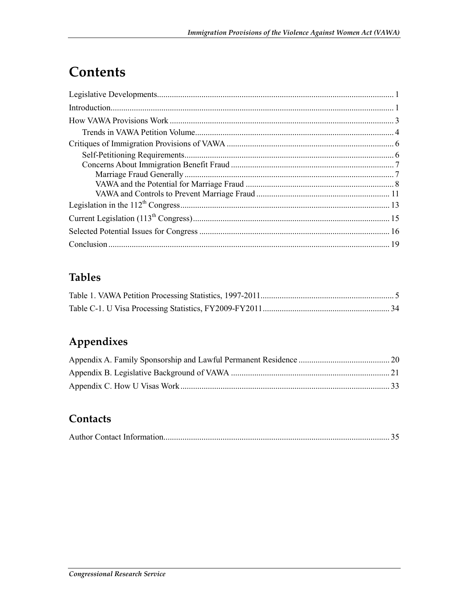# Contents

## **Tables**

## Appendixes

### Contacts

|--|--|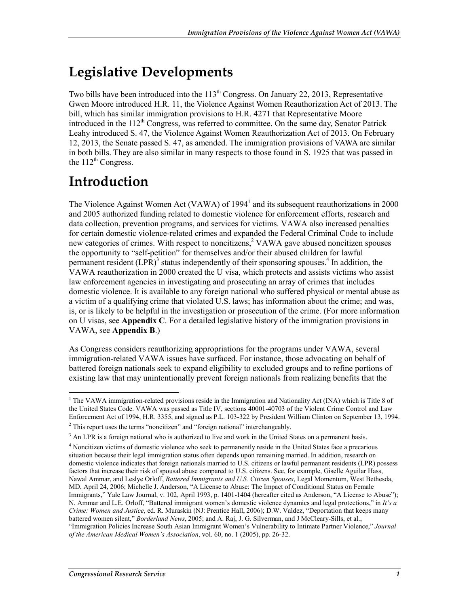# **Legislative Developments**

Two bills have been introduced into the 113<sup>th</sup> Congress. On January 22, 2013, Representative Gwen Moore introduced H.R. 11, the Violence Against Women Reauthorization Act of 2013. The bill, which has similar immigration provisions to H.R. 4271 that Representative Moore introduced in the 112<sup>th</sup> Congress, was referred to committee. On the same day, Senator Patrick Leahy introduced S. 47, the Violence Against Women Reauthorization Act of 2013. On February 12, 2013, the Senate passed S. 47, as amended. The immigration provisions of VAWA are similar in both bills. They are also similar in many respects to those found in S. 1925 that was passed in the  $112^{th}$  Congress.

# **Introduction**

The Violence Against Women Act (VAWA) of 1994<sup>1</sup> and its subsequent reauthorizations in 2000 and 2005 authorized funding related to domestic violence for enforcement efforts, research and data collection, prevention programs, and services for victims. VAWA also increased penalties for certain domestic violence-related crimes and expanded the Federal Criminal Code to include new categories of crimes. With respect to noncitizens,<sup>2</sup> VAWA gave abused noncitizen spouses the opportunity to "self-petition" for themselves and/or their abused children for lawful permanent resident  $(LPR)^3$  status independently of their sponsoring spouses.<sup>4</sup> In addition, the VAWA reauthorization in 2000 created the U visa, which protects and assists victims who assist law enforcement agencies in investigating and prosecuting an array of crimes that includes domestic violence. It is available to any foreign national who suffered physical or mental abuse as a victim of a qualifying crime that violated U.S. laws; has information about the crime; and was, is, or is likely to be helpful in the investigation or prosecution of the crime. (For more information on U visas, see **Appendix C**. For a detailed legislative history of the immigration provisions in VAWA, see **Appendix B**.)

As Congress considers reauthorizing appropriations for the programs under VAWA, several immigration-related VAWA issues have surfaced. For instance, those advocating on behalf of battered foreign nationals seek to expand eligibility to excluded groups and to refine portions of existing law that may unintentionally prevent foreign nationals from realizing benefits that the

 1 The VAWA immigration-related provisions reside in the Immigration and Nationality Act (INA) which is Title 8 of the United States Code. VAWA was passed as Title IV, sections 40001-40703 of the Violent Crime Control and Law Enforcement Act of 1994, H.R. 3355, and signed as P.L. 103-322 by President William Clinton on September 13, 1994.

<sup>&</sup>lt;sup>2</sup> This report uses the terms "noncitizen" and "foreign national" interchangeably.

<sup>&</sup>lt;sup>3</sup> An LPR is a foreign national who is authorized to live and work in the United States on a permanent basis.

<sup>&</sup>lt;sup>4</sup> Noncitizen victims of domestic violence who seek to permanently reside in the United States face a precarious situation because their legal immigration status often depends upon remaining married. In addition, research on domestic violence indicates that foreign nationals married to U.S. citizens or lawful permanent residents (LPR) possess factors that increase their risk of spousal abuse compared to U.S. citizens. See, for example, Giselle Aguilar Hass, Nawal Ammar, and Leslye Orloff, *Battered Immigrants and U.S. Citizen Spouses*, Legal Momentum, West Bethesda, MD, April 24, 2006; Michelle J. Anderson, "A License to Abuse: The Impact of Conditional Status on Female Immigrants," Yale Law Journal, v. 102, April 1993, p. 1401-1404 (hereafter cited as Anderson, "A License to Abuse"); N. Ammar and L.E. Orloff, "Battered immigrant women's domestic violence dynamics and legal protections," in *It's a Crime: Women and Justice*, ed. R. Muraskin (NJ: Prentice Hall, 2006); D.W. Valdez, "Deportation that keeps many battered women silent," *Borderland News*, 2005; and A. Raj, J. G. Silverman, and J McCleary-Sills, et al., "Immigration Policies Increase South Asian Immigrant Women's Vulnerability to Intimate Partner Violence," *Journal of the American Medical Women's Association*, vol. 60, no. 1 (2005), pp. 26-32.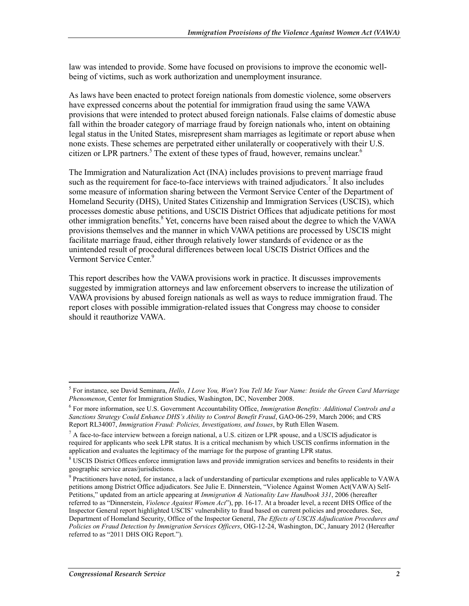law was intended to provide. Some have focused on provisions to improve the economic wellbeing of victims, such as work authorization and unemployment insurance.

As laws have been enacted to protect foreign nationals from domestic violence, some observers have expressed concerns about the potential for immigration fraud using the same VAWA provisions that were intended to protect abused foreign nationals. False claims of domestic abuse fall within the broader category of marriage fraud by foreign nationals who, intent on obtaining legal status in the United States, misrepresent sham marriages as legitimate or report abuse when none exists. These schemes are perpetrated either unilaterally or cooperatively with their U.S. citizen or LPR partners.<sup>5</sup> The extent of these types of fraud, however, remains unclear.<sup>6</sup>

The Immigration and Naturalization Act (INA) includes provisions to prevent marriage fraud such as the requirement for face-to-face interviews with trained adjudicators.<sup>7</sup> It also includes some measure of information sharing between the Vermont Service Center of the Department of Homeland Security (DHS), United States Citizenship and Immigration Services (USCIS), which processes domestic abuse petitions, and USCIS District Offices that adjudicate petitions for most other immigration benefits. $8$  Yet, concerns have been raised about the degree to which the VAWA provisions themselves and the manner in which VAWA petitions are processed by USCIS might facilitate marriage fraud, either through relatively lower standards of evidence or as the unintended result of procedural differences between local USCIS District Offices and the Vermont Service Center.<sup>9</sup>

This report describes how the VAWA provisions work in practice. It discusses improvements suggested by immigration attorneys and law enforcement observers to increase the utilization of VAWA provisions by abused foreign nationals as well as ways to reduce immigration fraud. The report closes with possible immigration-related issues that Congress may choose to consider should it reauthorize VAWA.

<sup>5</sup> For instance, see David Seminara, *Hello, I Love You, Won't You Tell Me Your Name: Inside the Green Card Marriage Phenomenon*, Center for Immigration Studies, Washington, DC, November 2008.

<sup>6</sup> For more information, see U.S. Government Accountability Office, *Immigration Benefits: Additional Controls and a Sanctions Strategy Could Enhance DHS's Ability to Control Benefit Fraud*, GAO-06-259, March 2006; and CRS Report RL34007, *Immigration Fraud: Policies, Investigations, and Issues*, by Ruth Ellen Wasem.

 $^7$  A face-to-face interview between a foreign national, a U.S. citizen or LPR spouse, and a USCIS adjudicator is required for applicants who seek LPR status. It is a critical mechanism by which USCIS confirms information in the application and evaluates the legitimacy of the marriage for the purpose of granting LPR status.

<sup>&</sup>lt;sup>8</sup> USCIS District Offices enforce immigration laws and provide immigration services and benefits to residents in their geographic service areas/jurisdictions.

<sup>&</sup>lt;sup>9</sup> Practitioners have noted, for instance, a lack of understanding of particular exemptions and rules applicable to VAWA petitions among District Office adjudicators. See Julie E. Dinnerstein, "Violence Against Women Act(VAWA) Self-Petitions," updated from an article appearing at *Immigration & Nationality Law Handbook 331*, 2006 (hereafter referred to as "Dinnerstein, *Violence Against Women Act*"), pp. 16-17. At a broader level, a recent DHS Office of the Inspector General report highlighted USCIS' vulnerability to fraud based on current policies and procedures. See, Department of Homeland Security, Office of the Inspector General, *The Effects of USCIS Adjudication Procedures and Policies on Fraud Detection by Immigration Services Officers*, OIG-12-24, Washington, DC, January 2012 (Hereafter referred to as "2011 DHS OIG Report.").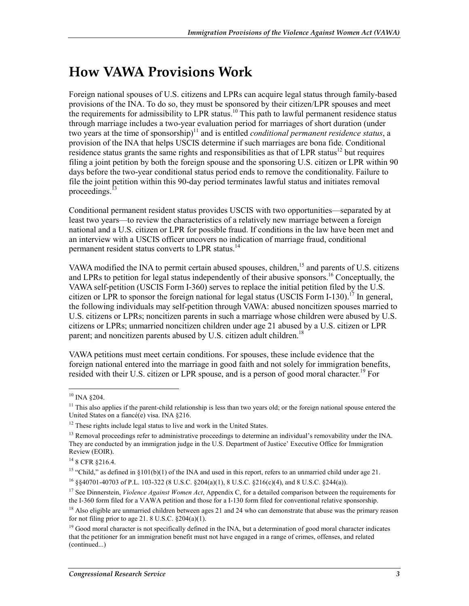## **How VAWA Provisions Work**

Foreign national spouses of U.S. citizens and LPRs can acquire legal status through family-based provisions of the INA. To do so, they must be sponsored by their citizen/LPR spouses and meet the requirements for admissibility to LPR status.<sup>10</sup> This path to lawful permanent residence status through marriage includes a two-year evaluation period for marriages of short duration (under two years at the time of sponsorship)<sup>11</sup> and is entitled *conditional permanent residence status*, a provision of the INA that helps USCIS determine if such marriages are bona fide. Conditional residence status grants the same rights and responsibilities as that of LPR status<sup>12</sup> but requires filing a joint petition by both the foreign spouse and the sponsoring U.S. citizen or LPR within 90 days before the two-year conditional status period ends to remove the conditionality. Failure to file the joint petition within this 90-day period terminates lawful status and initiates removal proceedings.<sup>13</sup>

Conditional permanent resident status provides USCIS with two opportunities—separated by at least two years—to review the characteristics of a relatively new marriage between a foreign national and a U.S. citizen or LPR for possible fraud. If conditions in the law have been met and an interview with a USCIS officer uncovers no indication of marriage fraud, conditional permanent resident status converts to LPR status.<sup>14</sup>

VAWA modified the INA to permit certain abused spouses, children,<sup>15</sup> and parents of U.S. citizens and LPRs to petition for legal status independently of their abusive sponsors.<sup>16</sup> Conceptually, the VAWA self-petition (USCIS Form I-360) serves to replace the initial petition filed by the U.S. citizen or LPR to sponsor the foreign national for legal status (USCIS Form I-130).<sup>17</sup> In general, the following individuals may self-petition through VAWA: abused noncitizen spouses married to U.S. citizens or LPRs; noncitizen parents in such a marriage whose children were abused by U.S. citizens or LPRs; unmarried noncitizen children under age 21 abused by a U.S. citizen or LPR parent; and noncitizen parents abused by U.S. citizen adult children.<sup>18</sup>

VAWA petitions must meet certain conditions. For spouses, these include evidence that the foreign national entered into the marriage in good faith and not solely for immigration benefits, resided with their U.S. citizen or LPR spouse, and is a person of good moral character.<sup>19</sup> For

<u>.</u>

 $10$  INA  $\S 204$ .

 $<sup>11</sup>$  This also applies if the parent-child relationship is less than two years old; or the foreign national spouse entered the</sup> United States on a fiancé(e) visa. INA §216.

 $12$  These rights include legal status to live and work in the United States.

<sup>&</sup>lt;sup>13</sup> Removal proceedings refer to administrative proceedings to determine an individual's removability under the INA. They are conducted by an immigration judge in the U.S. Department of Justice' Executive Office for Immigration Review (EOIR).

<sup>&</sup>lt;sup>14</sup> 8 CFR §216.4.

<sup>&</sup>lt;sup>15</sup> "Child," as defined in §101(b)(1) of the INA and used in this report, refers to an unmarried child under age 21.

<sup>16 §§40701-40703</sup> of P.L. 103-322 (8 U.S.C. §204(a)(1), 8 U.S.C. §216(c)(4), and 8 U.S.C. §244(a)).

<sup>&</sup>lt;sup>17</sup> See Dinnerstein, *Violence Against Women Act*, Appendix C, for a detailed comparison between the requirements for the I-360 form filed for a VAWA petition and those for a I-130 form filed for conventional relative sponsorship.

 $18$  Also eligible are unmarried children between ages 21 and 24 who can demonstrate that abuse was the primary reason for not filing prior to age 21. 8 U.S.C.  $\S 204(a)(1)$ .

 $<sup>19</sup>$  Good moral character is not specifically defined in the INA, but a determination of good moral character indicates</sup> that the petitioner for an immigration benefit must not have engaged in a range of crimes, offenses, and related (continued...)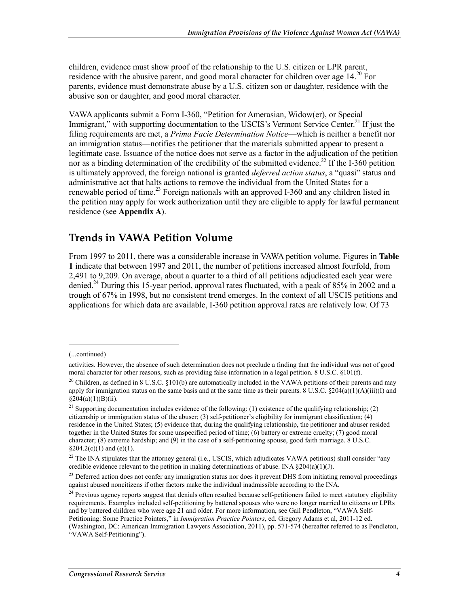children, evidence must show proof of the relationship to the U.S. citizen or LPR parent, residence with the abusive parent, and good moral character for children over age  $14^{20}$  For parents, evidence must demonstrate abuse by a U.S. citizen son or daughter, residence with the abusive son or daughter, and good moral character.

VAWA applicants submit a Form I-360, "Petition for Amerasian, Widow(er), or Special Immigrant," with supporting documentation to the USCIS's Vermont Service Center.<sup>21</sup> If just the filing requirements are met, a *Prima Facie Determination Notice*—which is neither a benefit nor an immigration status—notifies the petitioner that the materials submitted appear to present a legitimate case. Issuance of the notice does not serve as a factor in the adjudication of the petition nor as a binding determination of the credibility of the submitted evidence.<sup>22</sup> If the I-360 petition is ultimately approved, the foreign national is granted *deferred action status*, a "quasi" status and administrative act that halts actions to remove the individual from the United States for a renewable period of time.<sup>23</sup> Foreign nationals with an approved I-360 and any children listed in the petition may apply for work authorization until they are eligible to apply for lawful permanent residence (see **Appendix A**).

### **Trends in VAWA Petition Volume**

From 1997 to 2011, there was a considerable increase in VAWA petition volume. Figures in **Table 1** indicate that between 1997 and 2011, the number of petitions increased almost fourfold, from 2,491 to 9,209. On average, about a quarter to a third of all petitions adjudicated each year were denied.<sup>24</sup> During this 15-year period, approval rates fluctuated, with a peak of 85% in 2002 and a trough of 67% in 1998, but no consistent trend emerges. In the context of all USCIS petitions and applications for which data are available, I-360 petition approval rates are relatively low. Of 73

<sup>(...</sup>continued)

activities. However, the absence of such determination does not preclude a finding that the individual was not of good moral character for other reasons, such as providing false information in a legal petition. 8 U.S.C. §101(f).

 $20$  Children, as defined in 8 U.S.C. §101(b) are automatically included in the VAWA petitions of their parents and may apply for immigration status on the same basis and at the same time as their parents.  $\frac{8 \text{ U.S.C. } \frac{8204(a)(1)(\text{A})(\text{iii})(\text{I})}{\text{and}}$  $§204(a)(1)(B)(ii).$ 

<sup>&</sup>lt;sup>21</sup> Supporting documentation includes evidence of the following: (1) existence of the qualifying relationship; (2) citizenship or immigration status of the abuser; (3) self-petitioner's eligibility for immigrant classification; (4) residence in the United States; (5) evidence that, during the qualifying relationship, the petitioner and abuser resided together in the United States for some unspecified period of time; (6) battery or extreme cruelty; (7) good moral character; (8) extreme hardship; and (9) in the case of a self-petitioning spouse, good faith marriage. 8 U.S.C.  $$204.2(c)(1)$  and  $(e)(1)$ .

<sup>&</sup>lt;sup>22</sup> The INA stipulates that the attorney general (i.e., USCIS, which adjudicates VAWA petitions) shall consider "any credible evidence relevant to the petition in making determinations of abuse. INA  $\S 204(a)(1)(J)$ .

<sup>&</sup>lt;sup>23</sup> Deferred action does not confer any immigration status nor does it prevent DHS from initiating removal proceedings against abused noncitizens if other factors make the individual inadmissible according to the INA.

 $24$  Previous agency reports suggest that denials often resulted because self-petitioners failed to meet statutory eligibility requirements. Examples included self-petitioning by battered spouses who were no longer married to citizens or LPRs and by battered children who were age 21 and older. For more information, see Gail Pendleton, "VAWA Self-Petitioning: Some Practice Pointers," in *Immigration Practice Pointers*, ed. Gregory Adams et al, 2011-12 ed. (Washington, DC: American Immigration Lawyers Association, 2011), pp. 571-574 (hereafter referred to as Pendleton, "VAWA Self-Petitioning").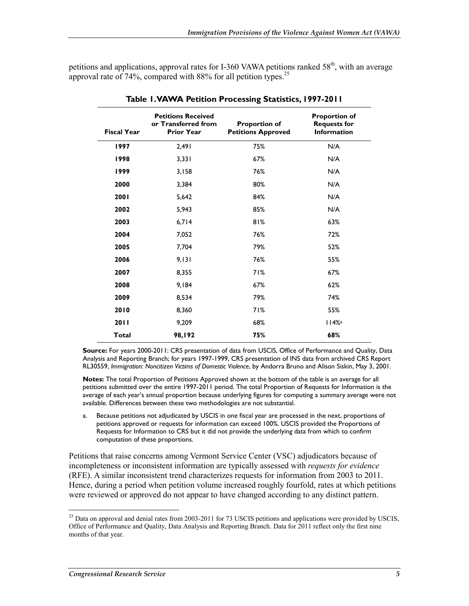petitions and applications, approval rates for I-360 VAWA petitions ranked  $58<sup>th</sup>$ , with an average approval rate of  $74\%$ , compared with 88% for all petition types.<sup>25</sup>

| <b>Fiscal Year</b> | <b>Petitions Received</b><br>or Transferred from<br><b>Prior Year</b> | <b>Proportion of</b><br><b>Petitions Approved</b> | <b>Proportion of</b><br><b>Requests for</b><br><b>Information</b> |
|--------------------|-----------------------------------------------------------------------|---------------------------------------------------|-------------------------------------------------------------------|
| 1997               | 2,491                                                                 | 75%                                               | N/A                                                               |
| 1998               | 3,331                                                                 | 67%                                               | N/A                                                               |
| 1999               | 3,158                                                                 | 76%                                               | N/A                                                               |
| 2000               | 3,384                                                                 | 80%                                               | N/A                                                               |
| 2001               | 5,642                                                                 | 84%                                               | N/A                                                               |
| 2002               | 5,943                                                                 | 85%                                               | N/A                                                               |
| 2003               | 6,714                                                                 | 81%                                               | 63%                                                               |
| 2004               | 7,052                                                                 | 76%                                               | 72%                                                               |
| 2005               | 7,704                                                                 | 79%                                               | 52%                                                               |
| 2006               | 9,131                                                                 | 76%                                               | 55%                                                               |
| 2007               | 8,355                                                                 | 71%                                               | 67%                                                               |
| 2008               | 9,184                                                                 | 67%                                               | 62%                                                               |
| 2009               | 8,534                                                                 | 79%                                               | 74%                                                               |
| 2010               | 8,360                                                                 | 71%                                               | 55%                                                               |
| 2011               | 9,209                                                                 | 68%                                               | 114%                                                              |
| <b>Total</b>       | 98,192                                                                | 75%                                               | 68%                                                               |

**Table 1. VAWA Petition Processing Statistics, 1997-2011** 

**Source:** For years 2000-2011: CRS presentation of data from USCIS, Office of Performance and Quality, Data Analysis and Reporting Branch; for years 1997-1999, CRS presentation of INS data from archived CRS Report RL30559, *Immigration: Noncitizen Victims of Domestic Violence*, by Andorra Bruno and Alison Siskin, May 3, 2001.

**Notes:** The total Proportion of Petitions Approved shown at the bottom of the table is an average for all petitions submitted over the entire 1997-2011 period. The total Proportion of Requests for Information is the average of each year's annual proportion because underlying figures for computing a summary average were not available. Differences between these two methodologies are not substantial.

a. Because petitions not adjudicated by USCIS in one fiscal year are processed in the next, proportions of petitions approved or requests for information can exceed 100%. USCIS provided the Proportions of Requests for Information to CRS but it did not provide the underlying data from which to confirm computation of these proportions.

Petitions that raise concerns among Vermont Service Center (VSC) adjudicators because of incompleteness or inconsistent information are typically assessed with *requests for evidence*  (RFE). A similar inconsistent trend characterizes requests for information from 2003 to 2011. Hence, during a period when petition volume increased roughly fourfold, rates at which petitions were reviewed or approved do not appear to have changed according to any distinct pattern.

<sup>&</sup>lt;sup>25</sup> Data on approval and denial rates from 2003-2011 for 73 USCIS petitions and applications were provided by USCIS, Office of Performance and Quality, Data Analysis and Reporting Branch. Data for 2011 reflect only the first nine months of that year.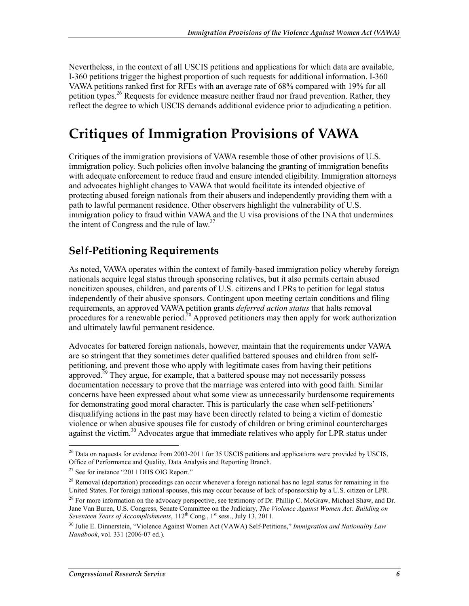Nevertheless, in the context of all USCIS petitions and applications for which data are available, I-360 petitions trigger the highest proportion of such requests for additional information. I-360 VAWA petitions ranked first for RFEs with an average rate of 68% compared with 19% for all petition types.<sup>26</sup> Requests for evidence measure neither fraud nor fraud prevention. Rather, they reflect the degree to which USCIS demands additional evidence prior to adjudicating a petition.

## **Critiques of Immigration Provisions of VAWA**

Critiques of the immigration provisions of VAWA resemble those of other provisions of U.S. immigration policy. Such policies often involve balancing the granting of immigration benefits with adequate enforcement to reduce fraud and ensure intended eligibility. Immigration attorneys and advocates highlight changes to VAWA that would facilitate its intended objective of protecting abused foreign nationals from their abusers and independently providing them with a path to lawful permanent residence. Other observers highlight the vulnerability of U.S. immigration policy to fraud within VAWA and the U visa provisions of the INA that undermines the intent of Congress and the rule of  $law^{27}$ .

### **Self-Petitioning Requirements**

As noted, VAWA operates within the context of family-based immigration policy whereby foreign nationals acquire legal status through sponsoring relatives, but it also permits certain abused noncitizen spouses, children, and parents of U.S. citizens and LPRs to petition for legal status independently of their abusive sponsors. Contingent upon meeting certain conditions and filing requirements, an approved VAWA petition grants *deferred action status* that halts removal procedures for a renewable period.<sup>28</sup> Approved petitioners may then apply for work authorization and ultimately lawful permanent residence.

Advocates for battered foreign nationals, however, maintain that the requirements under VAWA are so stringent that they sometimes deter qualified battered spouses and children from selfpetitioning, and prevent those who apply with legitimate cases from having their petitions approved.<sup>29</sup> They argue, for example, that a battered spouse may not necessarily possess documentation necessary to prove that the marriage was entered into with good faith. Similar concerns have been expressed about what some view as unnecessarily burdensome requirements for demonstrating good moral character. This is particularly the case when self-petitioners' disqualifying actions in the past may have been directly related to being a victim of domestic violence or when abusive spouses file for custody of children or bring criminal countercharges against the victim.<sup>30</sup> Advocates argue that immediate relatives who apply for LPR status under

 $^{26}$  Data on requests for evidence from 2003-2011 for 35 USCIS petitions and applications were provided by USCIS, Office of Performance and Quality, Data Analysis and Reporting Branch.

<sup>&</sup>lt;sup>27</sup> See for instance "2011 DHS OIG Report."

 $^{28}$  Removal (deportation) proceedings can occur whenever a foreign national has no legal status for remaining in the United States. For foreign national spouses, this may occur because of lack of sponsorship by a U.S. citizen or LPR.

<sup>&</sup>lt;sup>29</sup> For more information on the advocacy perspective, see testimony of Dr. Phillip C. McGraw, Michael Shaw, and Dr. Jane Van Buren, U.S. Congress, Senate Committee on the Judiciary, *The Violence Against Women Act: Building on*  Seventeen Years of Accomplishments, 112<sup>th</sup> Cong., 1<sup>st</sup> sess., July 13, 2011.

<sup>30</sup> Julie E. Dinnerstein, "Violence Against Women Act (VAWA) Self-Petitions," *Immigration and Nationality Law Handbook*, vol. 331 (2006-07 ed.).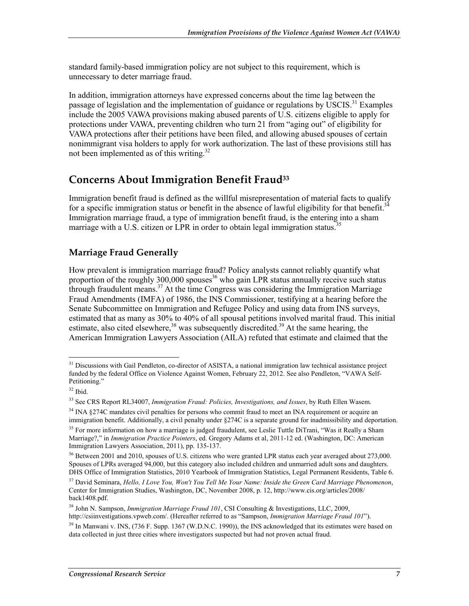standard family-based immigration policy are not subject to this requirement, which is unnecessary to deter marriage fraud.

In addition, immigration attorneys have expressed concerns about the time lag between the passage of legislation and the implementation of guidance or regulations by USCIS.<sup>31</sup> Examples include the 2005 VAWA provisions making abused parents of U.S. citizens eligible to apply for protections under VAWA, preventing children who turn 21 from "aging out" of eligibility for VAWA protections after their petitions have been filed, and allowing abused spouses of certain nonimmigrant visa holders to apply for work authorization. The last of these provisions still has not been implemented as of this writing.<sup>32</sup>

### **Concerns About Immigration Benefit Fraud33**

Immigration benefit fraud is defined as the willful misrepresentation of material facts to qualify for a specific immigration status or benefit in the absence of lawful eligibility for that benefit.<sup>34</sup> Immigration marriage fraud, a type of immigration benefit fraud, is the entering into a sham marriage with a U.S. citizen or LPR in order to obtain legal immigration status.<sup>3</sup>

### **Marriage Fraud Generally**

How prevalent is immigration marriage fraud? Policy analysts cannot reliably quantify what proportion of the roughly 300,000 spouses<sup>36</sup> who gain LPR status annually receive such status through fraudulent means.<sup>37</sup> At the time Congress was considering the Immigration Marriage Fraud Amendments (IMFA) of 1986, the INS Commissioner, testifying at a hearing before the Senate Subcommittee on Immigration and Refugee Policy and using data from INS surveys, estimated that as many as 30% to 40% of all spousal petitions involved marital fraud. This initial estimate, also cited elsewhere,  $38$  was subsequently discredited.<sup>39</sup> At the same hearing, the American Immigration Lawyers Association (AILA) refuted that estimate and claimed that the

<sup>1</sup> <sup>31</sup> Discussions with Gail Pendleton, co-director of ASISTA, a national immigration law technical assistance project funded by the federal Office on Violence Against Women, February 22, 2012. See also Pendleton, "VAWA Self-Petitioning."

<sup>32</sup> Ibid.

<sup>33</sup> See CRS Report RL34007, *Immigration Fraud: Policies, Investigations, and Issues*, by Ruth Ellen Wasem.

<sup>&</sup>lt;sup>34</sup> INA §274C mandates civil penalties for persons who commit fraud to meet an INA requirement or acquire an immigration benefit. Additionally, a civil penalty under §274C is a separate ground for inadmissibility and deportation.

<sup>&</sup>lt;sup>35</sup> For more information on how a marriage is judged fraudulent, see Leslie Tuttle DiTrani, "Was it Really a Sham Marriage?," in *Immigration Practice Pointers*, ed. Gregory Adams et al, 2011-12 ed. (Washington, DC: American Immigration Lawyers Association, 2011), pp. 135-137.

<sup>&</sup>lt;sup>36</sup> Between 2001 and 2010, spouses of U.S. citizens who were granted LPR status each year averaged about 273,000. Spouses of LPRs averaged 94,000, but this category also included children and unmarried adult sons and daughters. DHS Office of Immigration Statistics, 2010 Yearbook of Immigration Statistics, Legal Permanent Residents, Table 6.

<sup>37</sup> David Seminara, *Hello, I Love You, Won't You Tell Me Your Name: Inside the Green Card Marriage Phenomenon*, Center for Immigration Studies, Washington, DC, November 2008, p. 12, http://www.cis.org/articles/2008/ back1408.pdf.

<sup>38</sup> John N. Sampson, *Immigration Marriage Fraud 101*, CSI Consulting & Investigations, LLC, 2009, http://csiinvestigations.vpweb.com/. (Hereafter referred to as "Sampson, *Immigration Marriage Fraud 101*").

 $39$  In Manwani v. INS, (736 F. Supp. 1367 (W.D.N.C. 1990)), the INS acknowledged that its estimates were based on data collected in just three cities where investigators suspected but had not proven actual fraud.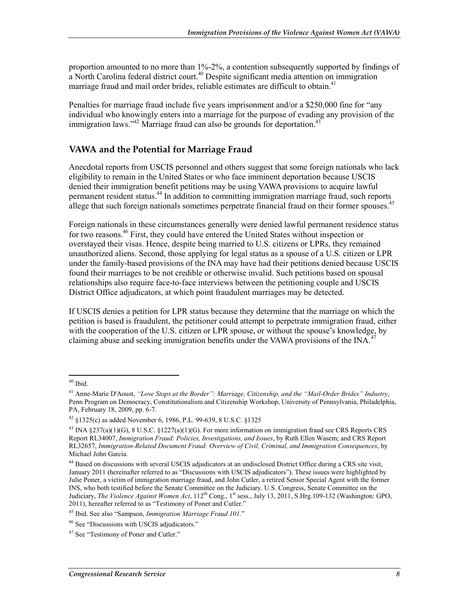proportion amounted to no more than 1%-2%, a contention subsequently supported by findings of a North Carolina federal district court.<sup>40</sup> Despite significant media attention on immigration marriage fraud and mail order brides, reliable estimates are difficult to obtain.<sup>41</sup>

Penalties for marriage fraud include five years imprisonment and/or a \$250,000 fine for "any individual who knowingly enters into a marriage for the purpose of evading any provision of the immigration laws." $42$  Marriage fraud can also be grounds for deportation. $43$ 

### **VAWA and the Potential for Marriage Fraud**

Anecdotal reports from USCIS personnel and others suggest that some foreign nationals who lack eligibility to remain in the United States or who face imminent deportation because USCIS denied their immigration benefit petitions may be using VAWA provisions to acquire lawful permanent resident status.<sup>44</sup> In addition to committing immigration marriage fraud, such reports allege that such foreign nationals sometimes perpetrate financial fraud on their former spouses.<sup>45</sup>

Foreign nationals in these circumstances generally were denied lawful permanent residence status for two reasons.<sup>46</sup> First, they could have entered the United States without inspection or overstayed their visas. Hence, despite being married to U.S. citizens or LPRs, they remained unauthorized aliens. Second, those applying for legal status as a spouse of a U.S. citizen or LPR under the family-based provisions of the INA may have had their petitions denied because USCIS found their marriages to be not credible or otherwise invalid. Such petitions based on spousal relationships also require face-to-face interviews between the petitioning couple and USCIS District Office adjudicators, at which point fraudulent marriages may be detected.

If USCIS denies a petition for LPR status because they determine that the marriage on which the petition is based is fraudulent, the petitioner could attempt to perpetrate immigration fraud, either with the cooperation of the U.S. citizen or LPR spouse, or without the spouse's knowledge, by claiming abuse and seeking immigration benefits under the VAWA provisions of the  $\text{INA}^4$ 

<sup>1</sup>  $40$  Ibid.

<sup>41</sup> Anne-Marie D'Aoust, *"Love Stops at the Border": Marriage, Citizenship, and the "Mail-Order Brides" Industry*, Penn Program on Democracy, Constitutionalism and Citizenship Workshop, University of Pennsylvania, Philadelphia, PA, February 18, 2009, pp. 6-7.

 $42 \text{ }\frac{$125}{6}$  as added November 6, 1986, P.L. 99-639, 8 U.S.C.  $\frac{$1325}{6}$ 

<sup>43</sup> INA §237(a)(1)(G), 8 U.S.C. §1227(a)(1)(G). For more information on immigration fraud see CRS Reports CRS Report RL34007, *Immigration Fraud: Policies, Investigations, and Issues*, by Ruth Ellen Wasem; and CRS Report RL32657, *Immigration-Related Document Fraud: Overview of Civil, Criminal, and Immigration Consequences*, by Michael John Garcia.

<sup>&</sup>lt;sup>44</sup> Based on discussions with several USCIS adjudicators at an undisclosed District Office during a CRS site visit, January 2011 (hereinafter referred to as "Discussions with USCIS adjudicators"). These issues were highlighted by Julie Poner, a victim of immigration marriage fraud, and John Cutler, a retired Senior Special Agent with the former INS, who both testified before the Senate Committee on the Judiciary. U.S. Congress, Senate Committee on the Judiciary, *The Violence Against Women Act*, 112<sup>th</sup> Cong., 1<sup>st</sup> sess., July 13, 2011, S.Hrg.109-132 (Washington: GPO, 2011), hereafter referred to as "Testimony of Poner and Cutler."

<sup>45</sup> Ibid. See also "Sampson, *Immigration Marriage Fraud 101.*"

<sup>46</sup> See "Discussions with USCIS adjudicators."

<sup>&</sup>lt;sup>47</sup> See "Testimony of Poner and Cutler."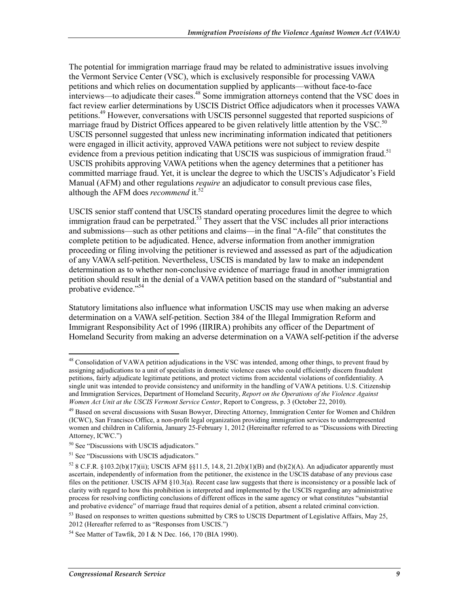The potential for immigration marriage fraud may be related to administrative issues involving the Vermont Service Center (VSC), which is exclusively responsible for processing VAWA petitions and which relies on documentation supplied by applicants—without face-to-face interviews—to adjudicate their cases.<sup>48</sup> Some immigration attorneys contend that the VSC does in fact review earlier determinations by USCIS District Office adjudicators when it processes VAWA petitions.49 However, conversations with USCIS personnel suggested that reported suspicions of marriage fraud by District Offices appeared to be given relatively little attention by the VSC.<sup>50</sup> USCIS personnel suggested that unless new incriminating information indicated that petitioners were engaged in illicit activity, approved VAWA petitions were not subject to review despite evidence from a previous petition indicating that USCIS was suspicious of immigration fraud.<sup>51</sup> USCIS prohibits approving VAWA petitions when the agency determines that a petitioner has committed marriage fraud. Yet, it is unclear the degree to which the USCIS's Adjudicator's Field Manual (AFM) and other regulations *require* an adjudicator to consult previous case files, although the AFM does *recommend* it.<sup>52</sup>

USCIS senior staff contend that USCIS standard operating procedures limit the degree to which immigration fraud can be perpetrated.<sup>53</sup> They assert that the VSC includes all prior interactions and submissions—such as other petitions and claims—in the final "A-file" that constitutes the complete petition to be adjudicated. Hence, adverse information from another immigration proceeding or filing involving the petitioner is reviewed and assessed as part of the adjudication of any VAWA self-petition. Nevertheless, USCIS is mandated by law to make an independent determination as to whether non-conclusive evidence of marriage fraud in another immigration petition should result in the denial of a VAWA petition based on the standard of "substantial and probative evidence."<sup>54</sup>

Statutory limitations also influence what information USCIS may use when making an adverse determination on a VAWA self-petition. Section 384 of the Illegal Immigration Reform and Immigrant Responsibility Act of 1996 (IIRIRA) prohibits any officer of the Department of Homeland Security from making an adverse determination on a VAWA self-petition if the adverse

<u>.</u>

 $48$  Consolidation of VAWA petition adjudications in the VSC was intended, among other things, to prevent fraud by assigning adjudications to a unit of specialists in domestic violence cases who could efficiently discern fraudulent petitions, fairly adjudicate legitimate petitions, and protect victims from accidental violations of confidentiality. A single unit was intended to provide consistency and uniformity in the handling of VAWA petitions. U.S. Citizenship and Immigration Services, Department of Homeland Security, *Report on the Operations of the Violence Against Women Act Unit at the USCIS Vermont Service Center*, Report to Congress, p. 3 (October 22, 2010).

<sup>&</sup>lt;sup>49</sup> Based on several discussions with Susan Bowyer, Directing Attorney, Immigration Center for Women and Children (ICWC), San Francisco Office, a non-profit legal organization providing immigration services to underrepresented women and children in California, January 25-February 1, 2012 (Hereinafter referred to as "Discussions with Directing Attorney, ICWC.")

<sup>50</sup> See "Discussions with USCIS adjudicators."

<sup>&</sup>lt;sup>51</sup> See "Discussions with USCIS adjudicators."

<sup>&</sup>lt;sup>52</sup> 8 C.F.R. §103.2(b)(17)(ii); USCIS AFM §§11.5, 14.8, 21.2(b)(1)(B) and (b)(2)(A). An adjudicator apparently must ascertain, independently of information from the petitioner, the existence in the USCIS database of any previous case files on the petitioner. USCIS AFM §10.3(a). Recent case law suggests that there is inconsistency or a possible lack of clarity with regard to how this prohibition is interpreted and implemented by the USCIS regarding any administrative process for resolving conflicting conclusions of different offices in the same agency or what constitutes "substantial and probative evidence" of marriage fraud that requires denial of a petition, absent a related criminal conviction.

 $53$  Based on responses to written questions submitted by CRS to USCIS Department of Legislative Affairs, May 25, 2012 (Hereafter referred to as "Responses from USCIS.")

<sup>54</sup> See Matter of Tawfik, 20 I & N Dec. 166, 170 (BIA 1990).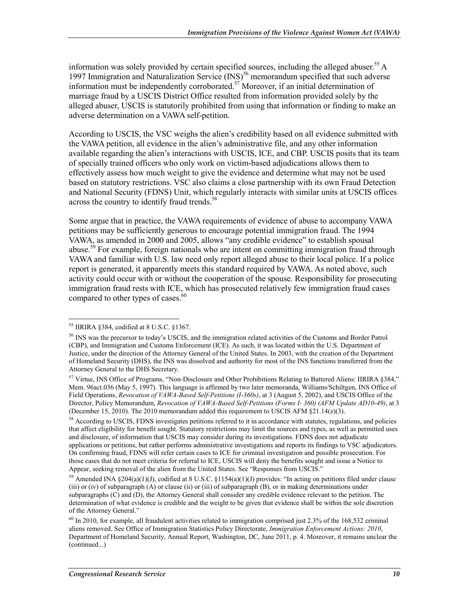information was solely provided by certain specified sources, including the alleged abuser.<sup>55</sup> A 1997 Immigration and Naturalization Service (INS)<sup>56</sup> memorandum specified that such adverse information must be independently corroborated.<sup>57</sup> Moreover, if an initial determination of marriage fraud by a USCIS District Office resulted from information provided solely by the alleged abuser, USCIS is statutorily prohibited from using that information or finding to make an adverse determination on a VAWA self-petition.

According to USCIS, the VSC weighs the alien's credibility based on all evidence submitted with the VAWA petition, all evidence in the alien's administrative file, and any other information available regarding the alien's interactions with USCIS, ICE, and CBP. USCIS posits that its team of specially trained officers who only work on victim-based adjudications allows them to effectively assess how much weight to give the evidence and determine what may not be used based on statutory restrictions. VSC also claims a close partnership with its own Fraud Detection and National Security (FDNS) Unit, which regularly interacts with similar units at USCIS offices across the country to identify fraud trends.<sup>58</sup>

Some argue that in practice, the VAWA requirements of evidence of abuse to accompany VAWA petitions may be sufficiently generous to encourage potential immigration fraud. The 1994 VAWA, as amended in 2000 and 2005, allows "any credible evidence" to establish spousal abuse.<sup>59</sup> For example, foreign nationals who are intent on committing immigration fraud through VAWA and familiar with U.S. law need only report alleged abuse to their local police. If a police report is generated, it apparently meets this standard required by VAWA. As noted above, such activity could occur with or without the cooperation of the spouse. Responsibility for prosecuting immigration fraud rests with ICE, which has prosecuted relatively few immigration fraud cases compared to other types of cases.<sup>60</sup>

<sup>55</sup> IIRIRA §384, codified at 8 U.S.C. §1367.

<sup>56</sup> INS was the precursor to today's USCIS, and the immigration related activities of the Customs and Border Patrol (CBP), and Immigration and Customs Enforcement (ICE). As such, it was located within the U.S. Department of Justice, under the direction of the Attorney General of the United States. In 2003, with the creation of the Department of Homeland Security (DHS), the INS was dissolved and authority for most of the INS functions transferred from the Attorney General to the DHS Secretary.

<sup>57</sup> Virtue, INS Office of Programs, "Non-Disclosure and Other Prohibitions Relating to Battered Aliens: IIRIRA §384," Mem. 96act.036 (May 5, 1997). This language is affirmed by two later memoranda, Williams/Schiltgen, INS Office of Field Operations, *Revocation of VAWA-Based Self-Petitions (I-360s)*, at 3 (August 5, 2002), and USCIS Office of the Director, Policy Memorandum, *Revocation of VAWA-Based Self-Petitions (Forms I- 360) (AFM Update AD10-49)*, at 3 (December 15, 2010). The 2010 memorandum added this requirement to USCIS AFM  $\S$ 21.14( $z$ )(3).

<sup>&</sup>lt;sup>58</sup> According to USCIS, FDNS investigates petitions referred to it in accordance with statutes, regulations, and policies that affect eligibility for benefit sought. Statutory restrictions may limit the sources and types, as well as permitted uses and disclosure, of information that USCIS may consider during its investigations. FDNS does not adjudicate applications or petitions, but rather performs administrative investigations and reports its findings to VSC adjudicators. On confirming fraud, FDNS will refer certain cases to ICE for criminal investigation and possible prosecution. For those cases that do not meet criteria for referral to ICE, USCIS will deny the benefits sought and issue a Notice to Appear, seeking removal of the alien from the United States. See "Responses from USCIS."

<sup>&</sup>lt;sup>59</sup> Amended INA §204(a)(1)(J), codified at 8 U.S.C. §1154(a)(1)(J) provides: "In acting on petitions filed under clause (iii) or (iv) of subparagraph (A) or clause (ii) or (iii) of subparagraph (B), or in making determinations under subparagraphs (C) and (D), the Attorney General shall consider any credible evidence relevant to the petition. The determination of what evidence is credible and the weight to be given that evidence shall be within the sole discretion of the Attorney General."

 $60$  In 2010, for example, all fraudulent activities related to immigration comprised just 2.3% of the 168,532 criminal aliens removed. See Office of Immigration Statistics Policy Directorate, *Immigration Enforcement Actions: 2010*, Department of Homeland Security, Annual Report, Washington, DC, June 2011, p. 4. Moreover, it remains unclear the (continued...)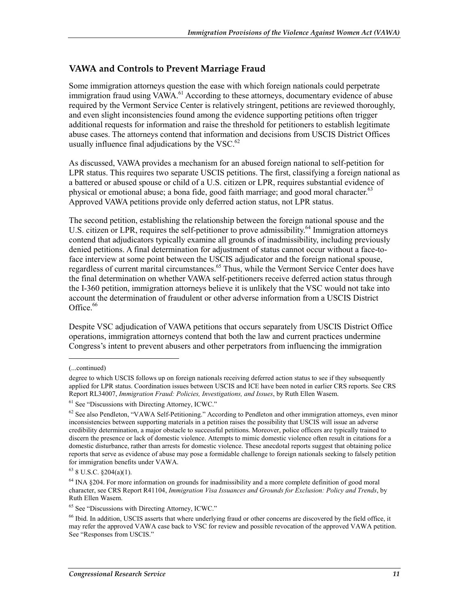#### **VAWA and Controls to Prevent Marriage Fraud**

Some immigration attorneys question the ease with which foreign nationals could perpetrate immigration fraud using VAWA.<sup>61</sup> According to these attorneys, documentary evidence of abuse required by the Vermont Service Center is relatively stringent, petitions are reviewed thoroughly, and even slight inconsistencies found among the evidence supporting petitions often trigger additional requests for information and raise the threshold for petitioners to establish legitimate abuse cases. The attorneys contend that information and decisions from USCIS District Offices usually influence final adjudications by the VSC. $^{62}$ 

As discussed, VAWA provides a mechanism for an abused foreign national to self-petition for LPR status. This requires two separate USCIS petitions. The first, classifying a foreign national as a battered or abused spouse or child of a U.S. citizen or LPR, requires substantial evidence of physical or emotional abuse; a bona fide, good faith marriage; and good moral character.<sup>63</sup> Approved VAWA petitions provide only deferred action status, not LPR status.

The second petition, establishing the relationship between the foreign national spouse and the U.S. citizen or LPR, requires the self-petitioner to prove admissibility.<sup>64</sup> Immigration attorneys contend that adjudicators typically examine all grounds of inadmissibility, including previously denied petitions. A final determination for adjustment of status cannot occur without a face-toface interview at some point between the USCIS adjudicator and the foreign national spouse, regardless of current marital circumstances.<sup>65</sup> Thus, while the Vermont Service Center does have the final determination on whether VAWA self-petitioners receive deferred action status through the I-360 petition, immigration attorneys believe it is unlikely that the VSC would not take into account the determination of fraudulent or other adverse information from a USCIS District Office. $66$ 

Despite VSC adjudication of VAWA petitions that occurs separately from USCIS District Office operations, immigration attorneys contend that both the law and current practices undermine Congress's intent to prevent abusers and other perpetrators from influencing the immigration

<sup>(...</sup>continued)

degree to which USCIS follows up on foreign nationals receiving deferred action status to see if they subsequently applied for LPR status. Coordination issues between USCIS and ICE have been noted in earlier CRS reports. See CRS Report RL34007, *Immigration Fraud: Policies, Investigations, and Issues*, by Ruth Ellen Wasem.

 $<sup>61</sup>$  See "Discussions with Directing Attorney, ICWC."</sup>

 $62$  See also Pendleton, "VAWA Self-Petitioning." According to Pendleton and other immigration attorneys, even minor inconsistencies between supporting materials in a petition raises the possibility that USCIS will issue an adverse credibility determination, a major obstacle to successful petitions. Moreover, police officers are typically trained to discern the presence or lack of domestic violence. Attempts to mimic domestic violence often result in citations for a domestic disturbance, rather than arrests for domestic violence. These anecdotal reports suggest that obtaining police reports that serve as evidence of abuse may pose a formidable challenge to foreign nationals seeking to falsely petition for immigration benefits under VAWA.

 $63$  8 U.S.C.  $\S204(a)(1)$ .

<sup>&</sup>lt;sup>64</sup> INA §204. For more information on grounds for inadmissibility and a more complete definition of good moral character, see CRS Report R41104, *Immigration Visa Issuances and Grounds for Exclusion: Policy and Trends*, by Ruth Ellen Wasem.

<sup>65</sup> See "Discussions with Directing Attorney, ICWC."

<sup>66</sup> Ibid. In addition, USCIS asserts that where underlying fraud or other concerns are discovered by the field office, it may refer the approved VAWA case back to VSC for review and possible revocation of the approved VAWA petition. See "Responses from USCIS."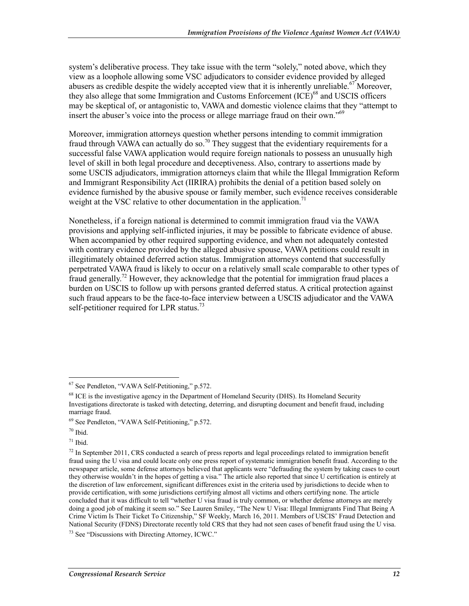system's deliberative process. They take issue with the term "solely," noted above, which they view as a loophole allowing some VSC adjudicators to consider evidence provided by alleged abusers as credible despite the widely accepted view that it is inherently unreliable.<sup>67</sup> Moreover, they also allege that some Immigration and Customs Enforcement  ${(\text{ICE})}^{68}$  and USCIS officers may be skeptical of, or antagonistic to, VAWA and domestic violence claims that they "attempt to insert the abuser's voice into the process or allege marriage fraud on their own."<sup>69</sup>

Moreover, immigration attorneys question whether persons intending to commit immigration fraud through VAWA can actually do so.<sup>70</sup> They suggest that the evidentiary requirements for a successful false VAWA application would require foreign nationals to possess an unusually high level of skill in both legal procedure and deceptiveness. Also, contrary to assertions made by some USCIS adjudicators, immigration attorneys claim that while the Illegal Immigration Reform and Immigrant Responsibility Act (IIRIRA) prohibits the denial of a petition based solely on evidence furnished by the abusive spouse or family member, such evidence receives considerable weight at the VSC relative to other documentation in the application.<sup>71</sup>

Nonetheless, if a foreign national is determined to commit immigration fraud via the VAWA provisions and applying self-inflicted injuries, it may be possible to fabricate evidence of abuse. When accompanied by other required supporting evidence, and when not adequately contested with contrary evidence provided by the alleged abusive spouse, VAWA petitions could result in illegitimately obtained deferred action status. Immigration attorneys contend that successfully perpetrated VAWA fraud is likely to occur on a relatively small scale comparable to other types of fraud generally.<sup>72</sup> However, they acknowledge that the potential for immigration fraud places a burden on USCIS to follow up with persons granted deferred status. A critical protection against such fraud appears to be the face-to-face interview between a USCIS adjudicator and the VAWA self-petitioner required for LPR status.<sup>73</sup>

1

 $71$  Ibid.

<sup>67</sup> See Pendleton, "VAWA Self-Petitioning," p.572.

<sup>&</sup>lt;sup>68</sup> ICE is the investigative agency in the Department of Homeland Security (DHS). Its Homeland Security Investigations directorate is tasked with detecting, deterring, and disrupting document and benefit fraud, including marriage fraud.

<sup>69</sup> See Pendleton, "VAWA Self-Petitioning," p.572.

<sup>70</sup> Ibid.

 $^{72}$  In September 2011, CRS conducted a search of press reports and legal proceedings related to immigration benefit fraud using the U visa and could locate only one press report of systematic immigration benefit fraud. According to the newspaper article, some defense attorneys believed that applicants were "defrauding the system by taking cases to court they otherwise wouldn't in the hopes of getting a visa." The article also reported that since U certification is entirely at the discretion of law enforcement, significant differences exist in the criteria used by jurisdictions to decide when to provide certification, with some jurisdictions certifying almost all victims and others certifying none. The article concluded that it was difficult to tell "whether U visa fraud is truly common, or whether defense attorneys are merely doing a good job of making it seem so." See Lauren Smiley, "The New U Visa: Illegal Immigrants Find That Being A Crime Victim Is Their Ticket To Citizenship," SF Weekly, March 16, 2011. Members of USCIS' Fraud Detection and National Security (FDNS) Directorate recently told CRS that they had not seen cases of benefit fraud using the U visa.

<sup>73</sup> See "Discussions with Directing Attorney, ICWC."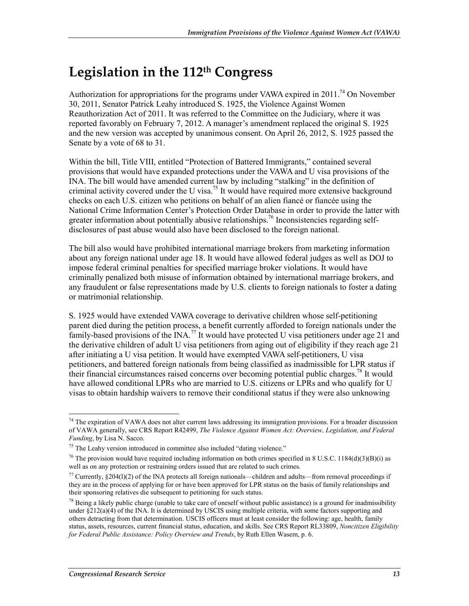## **Legislation in the 112th Congress**

Authorization for appropriations for the programs under VAWA expired in 2011.<sup>74</sup> On November 30, 2011, Senator Patrick Leahy introduced S. 1925, the Violence Against Women Reauthorization Act of 2011. It was referred to the Committee on the Judiciary, where it was reported favorably on February 7, 2012. A manager's amendment replaced the original S. 1925 and the new version was accepted by unanimous consent. On April 26, 2012, S. 1925 passed the Senate by a vote of 68 to 31.

Within the bill, Title VIII, entitled "Protection of Battered Immigrants," contained several provisions that would have expanded protections under the VAWA and U visa provisions of the INA. The bill would have amended current law by including "stalking" in the definition of criminal activity covered under the U visa.<sup>75</sup> It would have required more extensive background checks on each U.S. citizen who petitions on behalf of an alien fiancé or fiancée using the National Crime Information Center's Protection Order Database in order to provide the latter with greater information about potentially abusive relationships.<sup>76</sup> Inconsistencies regarding selfdisclosures of past abuse would also have been disclosed to the foreign national.

The bill also would have prohibited international marriage brokers from marketing information about any foreign national under age 18. It would have allowed federal judges as well as DOJ to impose federal criminal penalties for specified marriage broker violations. It would have criminally penalized both misuse of information obtained by international marriage brokers, and any fraudulent or false representations made by U.S. clients to foreign nationals to foster a dating or matrimonial relationship.

S. 1925 would have extended VAWA coverage to derivative children whose self-petitioning parent died during the petition process, a benefit currently afforded to foreign nationals under the family-based provisions of the  $[NA$ <sup>77</sup> It would have protected U visa petitioners under age 21 and the derivative children of adult U visa petitioners from aging out of eligibility if they reach age 21 after initiating a U visa petition. It would have exempted VAWA self-petitioners, U visa petitioners, and battered foreign nationals from being classified as inadmissible for LPR status if their financial circumstances raised concerns over becoming potential public charges.78 It would have allowed conditional LPRs who are married to U.S. citizens or LPRs and who qualify for U visas to obtain hardship waivers to remove their conditional status if they were also unknowing

<sup>&</sup>lt;u>.</u>  $74$  The expiration of VAWA does not alter current laws addressing its immigration provisions. For a broader discussion of VAWA generally, see CRS Report R42499, *The Violence Against Women Act: Overview, Legislation, and Federal Funding*, by Lisa N. Sacco.

<sup>&</sup>lt;sup>75</sup> The Leahy version introduced in committee also included "dating violence."

<sup>&</sup>lt;sup>76</sup> The provision would have required including information on both crimes specified in 8 U.S.C. 1184(d)(3)(B)(i) as well as on any protection or restraining orders issued that are related to such crimes.

 $77$  Currently,  $$204(1)(2)$  of the INA protects all foreign nationals—children and adults—from removal proceedings if they are in the process of applying for or have been approved for LPR status on the basis of family relationships and their sponsoring relatives die subsequent to petitioning for such status.

 $^{78}$  Being a likely public charge (unable to take care of oneself without public assistance) is a ground for inadmissibility under  $\S212(a)(4)$  of the INA. It is determined by USCIS using multiple criteria, with some factors supporting and others detracting from that determination. USCIS officers must at least consider the following: age, health, family status, assets, resources, current financial status, education, and skills. See CRS Report RL33809, *Noncitizen Eligibility for Federal Public Assistance: Policy Overview and Trends*, by Ruth Ellen Wasem, p. 6.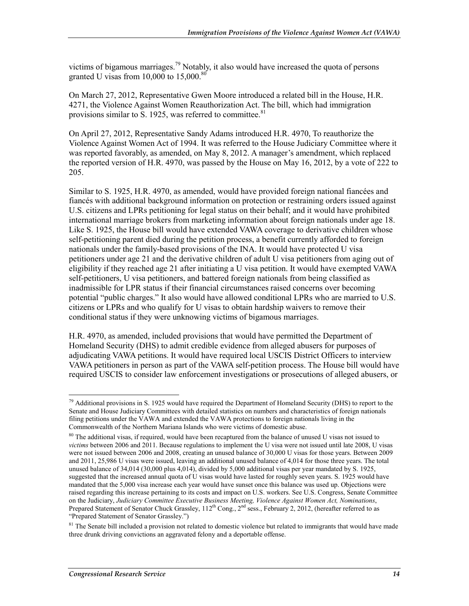victims of bigamous marriages.<sup>79</sup> Notably, it also would have increased the quota of persons granted U visas from  $10,000$  to  $15,000$ .<sup>80</sup>

On March 27, 2012, Representative Gwen Moore introduced a related bill in the House, H.R. 4271, the Violence Against Women Reauthorization Act. The bill, which had immigration provisions similar to S. 1925, was referred to committee. $81$ 

On April 27, 2012, Representative Sandy Adams introduced H.R. 4970, To reauthorize the Violence Against Women Act of 1994. It was referred to the House Judiciary Committee where it was reported favorably, as amended, on May 8, 2012. A manager's amendment, which replaced the reported version of H.R. 4970, was passed by the House on May 16, 2012, by a vote of 222 to 205.

Similar to S. 1925, H.R. 4970, as amended, would have provided foreign national fiancées and fiancés with additional background information on protection or restraining orders issued against U.S. citizens and LPRs petitioning for legal status on their behalf; and it would have prohibited international marriage brokers from marketing information about foreign nationals under age 18. Like S. 1925, the House bill would have extended VAWA coverage to derivative children whose self-petitioning parent died during the petition process, a benefit currently afforded to foreign nationals under the family-based provisions of the INA. It would have protected U visa petitioners under age 21 and the derivative children of adult U visa petitioners from aging out of eligibility if they reached age 21 after initiating a U visa petition. It would have exempted VAWA self-petitioners, U visa petitioners, and battered foreign nationals from being classified as inadmissible for LPR status if their financial circumstances raised concerns over becoming potential "public charges." It also would have allowed conditional LPRs who are married to U.S. citizens or LPRs and who qualify for U visas to obtain hardship waivers to remove their conditional status if they were unknowing victims of bigamous marriages.

H.R. 4970, as amended, included provisions that would have permitted the Department of Homeland Security (DHS) to admit credible evidence from alleged abusers for purposes of adjudicating VAWA petitions. It would have required local USCIS District Officers to interview VAWA petitioners in person as part of the VAWA self-petition process. The House bill would have required USCIS to consider law enforcement investigations or prosecutions of alleged abusers, or

<sup>&</sup>lt;sup>79</sup> Additional provisions in S. 1925 would have required the Department of Homeland Security (DHS) to report to the Senate and House Judiciary Committees with detailed statistics on numbers and characteristics of foreign nationals filing petitions under the VAWA and extended the VAWA protections to foreign nationals living in the Commonwealth of the Northern Mariana Islands who were victims of domestic abuse.

 $80$  The additional visas, if required, would have been recaptured from the balance of unused U visas not issued to *victims* between 2006 and 2011. Because regulations to implement the U visa were not issued until late 2008, U visas were not issued between 2006 and 2008, creating an unused balance of 30,000 U visas for those years. Between 2009 and 2011, 25,986 U visas were issued, leaving an additional unused balance of 4,014 for those three years. The total unused balance of 34,014 (30,000 plus 4,014), divided by 5,000 additional visas per year mandated by S. 1925, suggested that the increased annual quota of U visas would have lasted for roughly seven years. S. 1925 would have mandated that the 5,000 visa increase each year would have sunset once this balance was used up. Objections were raised regarding this increase pertaining to its costs and impact on U.S. workers. See U.S. Congress, Senate Committee on the Judiciary, *Judiciary Committee Executive Business Meeting, Violence Against Women Act, Nominations*, Prepared Statement of Senator Chuck Grassley, 112<sup>th</sup> Cong., 2<sup>nd</sup> sess., February 2, 2012, (hereafter referred to as "Prepared Statement of Senator Grassley.")

 $81$  The Senate bill included a provision not related to domestic violence but related to immigrants that would have made three drunk driving convictions an aggravated felony and a deportable offense.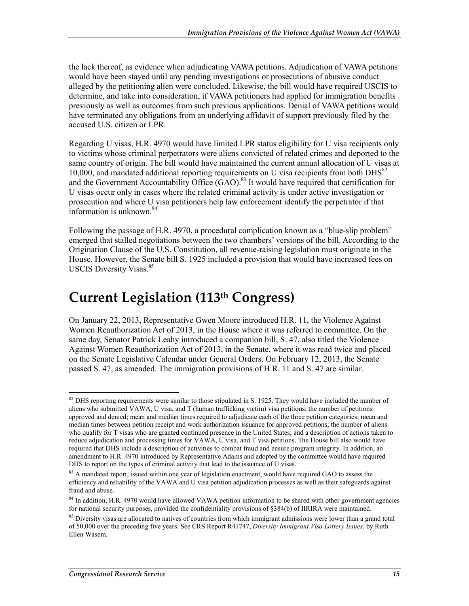the lack thereof, as evidence when adjudicating VAWA petitions. Adjudication of VAWA petitions would have been stayed until any pending investigations or prosecutions of abusive conduct alleged by the petitioning alien were concluded. Likewise, the bill would have required USCIS to determine, and take into consideration, if VAWA petitioners had applied for immigration benefits previously as well as outcomes from such previous applications. Denial of VAWA petitions would have terminated any obligations from an underlying affidavit of support previously filed by the accused U.S. citizen or LPR.

Regarding U visas, H.R. 4970 would have limited LPR status eligibility for U visa recipients only to victims whose criminal perpetrators were aliens convicted of related crimes and deported to the same country of origin. The bill would have maintained the current annual allocation of U visas at 10,000, and mandated additional reporting requirements on U visa recipients from both  $\text{DHS}^{82}$ and the Government Accountability Office  $(GAO)$ .<sup>83</sup> It would have required that certification for U visas occur only in cases where the related criminal activity is under active investigation or prosecution and where U visa petitioners help law enforcement identify the perpetrator if that information is unknown. $84$ 

Following the passage of H.R. 4970, a procedural complication known as a "blue-slip problem" emerged that stalled negotiations between the two chambers' versions of the bill. According to the Origination Clause of the U.S. Constitution, all revenue-raising legislation must originate in the House. However, the Senate bill S. 1925 included a provision that would have increased fees on USCIS Diversity Visas.<sup>85</sup>

## **Current Legislation (113th Congress)**

On January 22, 2013, Representative Gwen Moore introduced H.R. 11, the Violence Against Women Reauthorization Act of 2013, in the House where it was referred to committee. On the same day, Senator Patrick Leahy introduced a companion bill, S. 47, also titled the Violence Against Women Reauthorization Act of 2013, in the Senate, where it was read twice and placed on the Senate Legislative Calendar under General Orders. On February 12, 2013, the Senate passed S. 47, as amended. The immigration provisions of H.R. 11 and S. 47 are similar.

 $82$  DHS reporting requirements were similar to those stipulated in S. 1925. They would have included the number of aliens who submitted VAWA, U visa, and T (human trafficking victim) visa petitions; the number of petitions approved and denied; mean and median times required to adjudicate each of the three petition categories; mean and median times between petition receipt and work authorization issuance for approved petitions; the number of aliens who qualify for T visas who are granted continued presence in the United States; and a description of actions taken to reduce adjudication and processing times for VAWA, U visa, and T visa petitions. The House bill also would have required that DHS include a description of activities to combat fraud and ensure program integrity. In addition, an amendment to H.R. 4970 introduced by Representative Adams and adopted by the committee would have required DHS to report on the types of criminal activity that lead to the issuance of U visas.

<sup>&</sup>lt;sup>83</sup> A mandated report, issued within one year of legislation enactment, would have required GAO to assess the efficiency and reliability of the VAWA and U visa petition adjudication processes as well as their safeguards against fraud and abuse.

<sup>&</sup>lt;sup>84</sup> In addition, H.R. 4970 would have allowed VAWA petition information to be shared with other government agencies for national security purposes, provided the confidentiality provisions of §384(b) of IIRIRA were maintained.

<sup>&</sup>lt;sup>85</sup> Diversity visas are allocated to natives of countries from which immigrant admissions were lower than a grand total of 50,000 over the preceding five years. See CRS Report R41747, *Diversity Immigrant Visa Lottery Issues*, by Ruth Ellen Wasem.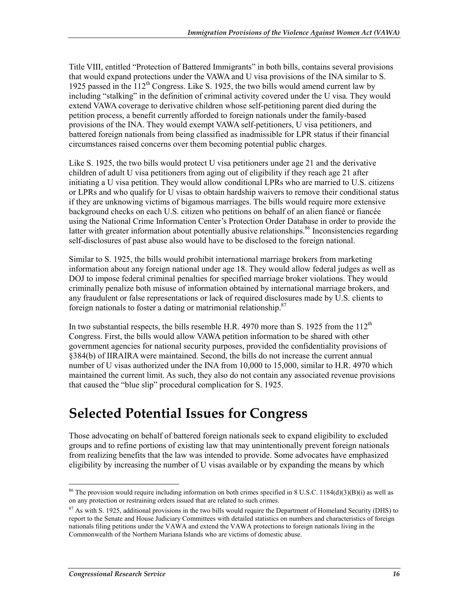Title VIII, entitled "Protection of Battered Immigrants" in both bills, contains several provisions that would expand protections under the VAWA and U visa provisions of the INA similar to S. 1925 passed in the  $112<sup>th</sup>$  Congress. Like S. 1925, the two bills would amend current law by including "stalking" in the definition of criminal activity covered under the U visa. They would extend VAWA coverage to derivative children whose self-petitioning parent died during the petition process, a benefit currently afforded to foreign nationals under the family-based provisions of the INA. They would exempt VAWA self-petitioners, U visa petitioners, and battered foreign nationals from being classified as inadmissible for LPR status if their financial circumstances raised concerns over them becoming potential public charges.

Like S. 1925, the two bills would protect U visa petitioners under age 21 and the derivative children of adult U visa petitioners from aging out of eligibility if they reach age 21 after initiating a U visa petition. They would allow conditional LPRs who are married to U.S. citizens or LPRs and who qualify for U visas to obtain hardship waivers to remove their conditional status if they are unknowing victims of bigamous marriages. The bills would require more extensive background checks on each U.S. citizen who petitions on behalf of an alien fiancé or fiancée using the National Crime Information Center's Protection Order Database in order to provide the latter with greater information about potentially abusive relationships.<sup>86</sup> Inconsistencies regarding self-disclosures of past abuse also would have to be disclosed to the foreign national.

Similar to S. 1925, the bills would prohibit international marriage brokers from marketing information about any foreign national under age 18. They would allow federal judges as well as DOJ to impose federal criminal penalties for specified marriage broker violations. They would criminally penalize both misuse of information obtained by international marriage brokers, and any fraudulent or false representations or lack of required disclosures made by U.S. clients to foreign nationals to foster a dating or matrimonial relationship.87

In two substantial respects, the bills resemble H.R. 4970 more than S. 1925 from the  $112<sup>th</sup>$ Congress. First, the bills would allow VAWA petition information to be shared with other government agencies for national security purposes, provided the confidentiality provisions of §384(b) of IIRAIRA were maintained. Second, the bills do not increase the current annual number of U visas authorized under the INA from 10,000 to 15,000, similar to H.R. 4970 which maintained the current limit. As such, they also do not contain any associated revenue provisions that caused the "blue slip" procedural complication for S. 1925.

## **Selected Potential Issues for Congress**

Those advocating on behalf of battered foreign nationals seek to expand eligibility to excluded groups and to refine portions of existing law that may unintentionally prevent foreign nationals from realizing benefits that the law was intended to provide. Some advocates have emphasized eligibility by increasing the number of U visas available or by expanding the means by which

<sup>1</sup> <sup>86</sup> The provision would require including information on both crimes specified in 8 U.S.C. 1184(d)(3)(B)(i) as well as on any protection or restraining orders issued that are related to such crimes.

 $87$  As with S. 1925, additional provisions in the two bills would require the Department of Homeland Security (DHS) to report to the Senate and House Judiciary Committees with detailed statistics on numbers and characteristics of foreign nationals filing petitions under the VAWA and extend the VAWA protections to foreign nationals living in the Commonwealth of the Northern Mariana Islands who are victims of domestic abuse.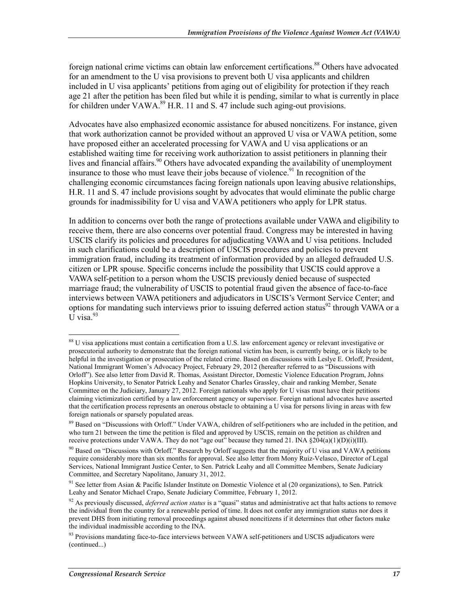foreign national crime victims can obtain law enforcement certifications.<sup>88</sup> Others have advocated for an amendment to the U visa provisions to prevent both U visa applicants and children included in U visa applicants' petitions from aging out of eligibility for protection if they reach age 21 after the petition has been filed but while it is pending, similar to what is currently in place for children under VAWA.<sup>89</sup> H.R. 11 and S. 47 include such aging-out provisions.

Advocates have also emphasized economic assistance for abused noncitizens. For instance, given that work authorization cannot be provided without an approved U visa or VAWA petition, some have proposed either an accelerated processing for VAWA and U visa applications or an established waiting time for receiving work authorization to assist petitioners in planning their lives and financial affairs.<sup>90</sup> Others have advocated expanding the availability of unemployment insurance to those who must leave their jobs because of violence.<sup>91</sup> In recognition of the challenging economic circumstances facing foreign nationals upon leaving abusive relationships, H.R. 11 and S. 47 include provisions sought by advocates that would eliminate the public charge grounds for inadmissibility for U visa and VAWA petitioners who apply for LPR status.

In addition to concerns over both the range of protections available under VAWA and eligibility to receive them, there are also concerns over potential fraud. Congress may be interested in having USCIS clarify its policies and procedures for adjudicating VAWA and U visa petitions. Included in such clarifications could be a description of USCIS procedures and policies to prevent immigration fraud, including its treatment of information provided by an alleged defrauded U.S. citizen or LPR spouse. Specific concerns include the possibility that USCIS could approve a VAWA self-petition to a person whom the USCIS previously denied because of suspected marriage fraud; the vulnerability of USCIS to potential fraud given the absence of face-to-face interviews between VAWA petitioners and adjudicators in USCIS's Vermont Service Center; and options for mandating such interviews prior to issuing deferred action status<sup>92</sup> through VAWA or a  $\overline{U}$  visa<sup>93</sup>

<sup>&</sup>lt;sup>88</sup> U visa applications must contain a certification from a U.S. law enforcement agency or relevant investigative or prosecutorial authority to demonstrate that the foreign national victim has been, is currently being, or is likely to be helpful in the investigation or prosecution of the related crime. Based on discussions with Leslye E. Orloff, President, National Immigrant Women's Advocacy Project, February 29, 2012 (hereafter referred to as "Discussions with Orloff"). See also letter from David R. Thomas, Assistant Director, Domestic Violence Education Program, Johns Hopkins University, to Senator Patrick Leahy and Senator Charles Grassley, chair and ranking Member, Senate Committee on the Judiciary, January 27, 2012. Foreign nationals who apply for U visas must have their petitions claiming victimization certified by a law enforcement agency or supervisor. Foreign national advocates have asserted that the certification process represents an onerous obstacle to obtaining a U visa for persons living in areas with few foreign nationals or sparsely populated areas.

<sup>&</sup>lt;sup>89</sup> Based on "Discussions with Orloff." Under VAWA, children of self-petitioners who are included in the petition, and who turn 21 between the time the petition is filed and approved by USCIS, remain on the petition as children and receive protections under VAWA. They do not "age out" because they turned 21. INA  $\S 204(a)(1)(D)(i)(III)$ .

 $90$  Based on "Discussions with Orloff." Research by Orloff suggests that the majority of U visa and VAWA petitions require considerably more than six months for approval. See also letter from Mony Ruiz-Velasco, Director of Legal Services, National Immigrant Justice Center, to Sen. Patrick Leahy and all Committee Members, Senate Judiciary Committee, and Secretary Napolitano, January 31, 2012.

<sup>&</sup>lt;sup>91</sup> See letter from Asian & Pacific Islander Institute on Domestic Violence et al (20 organizations), to Sen. Patrick Leahy and Senator Michael Crapo, Senate Judiciary Committee, February 1, 2012.

<sup>92</sup> As previously discussed, *deferred action status* is a "quasi" status and administrative act that halts actions to remove the individual from the country for a renewable period of time. It does not confer any immigration status nor does it prevent DHS from initiating removal proceedings against abused noncitizens if it determines that other factors make the individual inadmissible according to the INA.

<sup>&</sup>lt;sup>93</sup> Provisions mandating face-to-face interviews between VAWA self-petitioners and USCIS adjudicators were (continued...)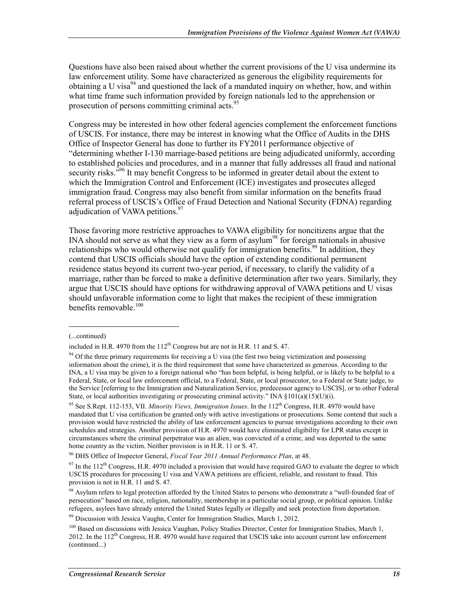Questions have also been raised about whether the current provisions of the U visa undermine its law enforcement utility. Some have characterized as generous the eligibility requirements for obtaining a U visa<sup>94</sup> and questioned the lack of a mandated inquiry on whether, how, and within what time frame such information provided by foreign nationals led to the apprehension or prosecution of persons committing criminal acts.<sup>95</sup>

Congress may be interested in how other federal agencies complement the enforcement functions of USCIS. For instance, there may be interest in knowing what the Office of Audits in the DHS Office of Inspector General has done to further its FY2011 performance objective of "determining whether I-130 marriage-based petitions are being adjudicated uniformly, according to established policies and procedures, and in a manner that fully addresses all fraud and national security risks.<sup> $596$ </sup> It may benefit Congress to be informed in greater detail about the extent to which the Immigration Control and Enforcement (ICE) investigates and prosecutes alleged immigration fraud. Congress may also benefit from similar information on the benefits fraud referral process of USCIS's Office of Fraud Detection and National Security (FDNA) regarding adjudication of VAWA petitions.<sup>97</sup>

Those favoring more restrictive approaches to VAWA eligibility for noncitizens argue that the INA should not serve as what they view as a form of asylum<sup>98</sup> for foreign nationals in abusive relationships who would otherwise not qualify for immigration benefits.<sup>99</sup> In addition, they contend that USCIS officials should have the option of extending conditional permanent residence status beyond its current two-year period, if necessary, to clarify the validity of a marriage, rather than be forced to make a definitive determination after two years. Similarly, they argue that USCIS should have options for withdrawing approval of VAWA petitions and U visas should unfavorable information come to light that makes the recipient of these immigration benefits removable.<sup>100</sup>

<sup>(...</sup>continued)

included in H.R. 4970 from the  $112<sup>th</sup>$  Congress but are not in H.R. 11 and S. 47.

 $94$  Of the three primary requirements for receiving a U visa (the first two being victimization and possessing information about the crime), it is the third requirement that some have characterized as generous. According to the INA, a U visa may be given to a foreign national who "has been helpful, is being helpful, or is likely to be helpful to a Federal, State, or local law enforcement official, to a Federal, State, or local prosecutor, to a Federal or State judge, to the Service [referring to the Immigration and Naturalization Service, predecessor agency to USCIS], or to other Federal State, or local authorities investigating or prosecuting criminal activity." INA §101(a)(15)(U)(i).

<sup>95</sup> See S.Rept. 112-153, VII. *Minority Views, Immigration Issues*. In the 112th Congress, H.R. 4970 would have mandated that U visa certification be granted only with active investigations or prosecutions. Some contend that such a provision would have restricted the ability of law enforcement agencies to pursue investigations according to their own schedules and strategies. Another provision of H.R. 4970 would have eliminated eligibility for LPR status except in circumstances where the criminal perpetrator was an alien, was convicted of a crime, and was deported to the same home country as the victim. Neither provision is in H.R. 11 or S. 47.

<sup>96</sup> DHS Office of Inspector General, *Fiscal Year 2011 Annual Performance Plan*, at 48.

 $97$  In the 112<sup>th</sup> Congress, H.R. 4970 included a provision that would have required GAO to evaluate the degree to which USCIS procedures for processing U visa and VAWA petitions are efficient, reliable, and resistant to fraud. This provision is not in H.R. 11 and S. 47.

<sup>&</sup>lt;sup>98</sup> Asylum refers to legal protection afforded by the United States to persons who demonstrate a "well-founded fear of persecution" based on race, religion, nationality, membership in a particular social group, or political opinion. Unlike refugees, asylees have already entered the United States legally or illegally and seek protection from deportation.

<sup>&</sup>lt;sup>99</sup> Discussion with Jessica Vaughn, Center for Immigration Studies, March 1, 2012.

<sup>&</sup>lt;sup>100</sup> Based on discussions with Jessica Vaughan, Policy Studies Director, Center for Immigration Studies, March 1,  $2012$ . In the  $112<sup>th</sup>$  Congress, H.R. 4970 would have required that USCIS take into account current law enforcement (continued...)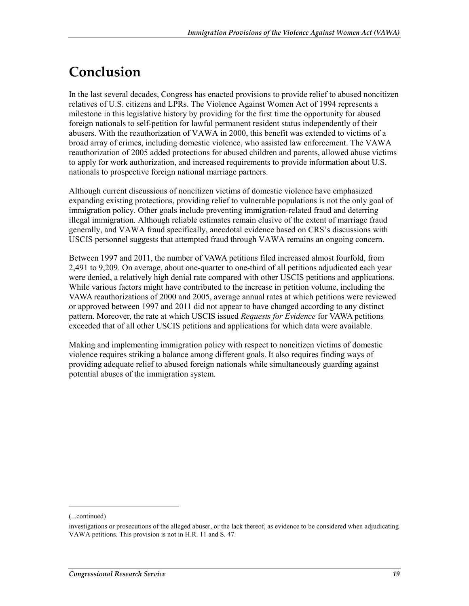## **Conclusion**

In the last several decades, Congress has enacted provisions to provide relief to abused noncitizen relatives of U.S. citizens and LPRs. The Violence Against Women Act of 1994 represents a milestone in this legislative history by providing for the first time the opportunity for abused foreign nationals to self-petition for lawful permanent resident status independently of their abusers. With the reauthorization of VAWA in 2000, this benefit was extended to victims of a broad array of crimes, including domestic violence, who assisted law enforcement. The VAWA reauthorization of 2005 added protections for abused children and parents, allowed abuse victims to apply for work authorization, and increased requirements to provide information about U.S. nationals to prospective foreign national marriage partners.

Although current discussions of noncitizen victims of domestic violence have emphasized expanding existing protections, providing relief to vulnerable populations is not the only goal of immigration policy. Other goals include preventing immigration-related fraud and deterring illegal immigration. Although reliable estimates remain elusive of the extent of marriage fraud generally, and VAWA fraud specifically, anecdotal evidence based on CRS's discussions with USCIS personnel suggests that attempted fraud through VAWA remains an ongoing concern.

Between 1997 and 2011, the number of VAWA petitions filed increased almost fourfold, from 2,491 to 9,209. On average, about one-quarter to one-third of all petitions adjudicated each year were denied, a relatively high denial rate compared with other USCIS petitions and applications. While various factors might have contributed to the increase in petition volume, including the VAWA reauthorizations of 2000 and 2005, average annual rates at which petitions were reviewed or approved between 1997 and 2011 did not appear to have changed according to any distinct pattern. Moreover, the rate at which USCIS issued *Requests for Evidence* for VAWA petitions exceeded that of all other USCIS petitions and applications for which data were available.

Making and implementing immigration policy with respect to noncitizen victims of domestic violence requires striking a balance among different goals. It also requires finding ways of providing adequate relief to abused foreign nationals while simultaneously guarding against potential abuses of the immigration system.

<sup>(...</sup>continued)

investigations or prosecutions of the alleged abuser, or the lack thereof, as evidence to be considered when adjudicating VAWA petitions. This provision is not in H.R. 11 and S. 47.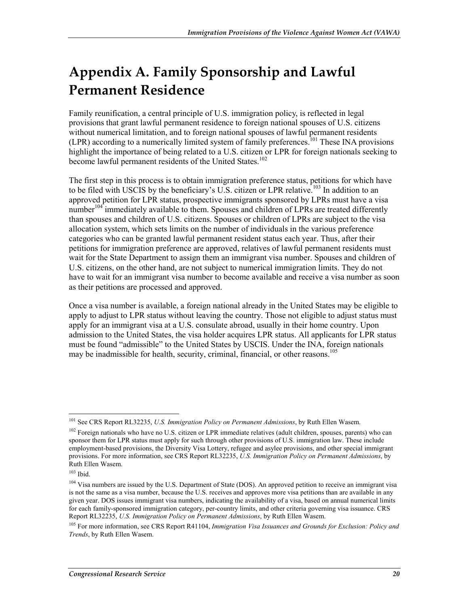## **Appendix A. Family Sponsorship and Lawful Permanent Residence**

Family reunification, a central principle of U.S. immigration policy, is reflected in legal provisions that grant lawful permanent residence to foreign national spouses of U.S. citizens without numerical limitation, and to foreign national spouses of lawful permanent residents (LPR) according to a numerically limited system of family preferences.101 These INA provisions highlight the importance of being related to a U.S. citizen or LPR for foreign nationals seeking to become lawful permanent residents of the United States.<sup>102</sup>

The first step in this process is to obtain immigration preference status, petitions for which have to be filed with USCIS by the beneficiary's U.S. citizen or LPR relative.<sup>103</sup> In addition to an approved petition for LPR status, prospective immigrants sponsored by LPRs must have a visa number<sup>104</sup> immediately available to them. Spouses and children of LPRs are treated differently than spouses and children of U.S. citizens. Spouses or children of LPRs are subject to the visa allocation system, which sets limits on the number of individuals in the various preference categories who can be granted lawful permanent resident status each year. Thus, after their petitions for immigration preference are approved, relatives of lawful permanent residents must wait for the State Department to assign them an immigrant visa number. Spouses and children of U.S. citizens, on the other hand, are not subject to numerical immigration limits. They do not have to wait for an immigrant visa number to become available and receive a visa number as soon as their petitions are processed and approved.

Once a visa number is available, a foreign national already in the United States may be eligible to apply to adjust to LPR status without leaving the country. Those not eligible to adjust status must apply for an immigrant visa at a U.S. consulate abroad, usually in their home country. Upon admission to the United States, the visa holder acquires LPR status. All applicants for LPR status must be found "admissible" to the United States by USCIS. Under the INA, foreign nationals may be inadmissible for health, security, criminal, financial, or other reasons.<sup>105</sup>

<sup>&</sup>lt;u>.</u> 101 See CRS Report RL32235, *U.S. Immigration Policy on Permanent Admissions*, by Ruth Ellen Wasem.

<sup>&</sup>lt;sup>102</sup> Foreign nationals who have no U.S. citizen or LPR immediate relatives (adult children, spouses, parents) who can sponsor them for LPR status must apply for such through other provisions of U.S. immigration law. These include employment-based provisions, the Diversity Visa Lottery, refugee and asylee provisions, and other special immigrant provisions. For more information, see CRS Report RL32235, *U.S. Immigration Policy on Permanent Admissions*, by Ruth Ellen Wasem.

<sup>103</sup> Ibid.

<sup>&</sup>lt;sup>104</sup> Visa numbers are issued by the U.S. Department of State (DOS). An approved petition to receive an immigrant visa is not the same as a visa number, because the U.S. receives and approves more visa petitions than are available in any given year. DOS issues immigrant visa numbers, indicating the availability of a visa, based on annual numerical limits for each family-sponsored immigration category, per-country limits, and other criteria governing visa issuance. CRS Report RL32235, *U.S. Immigration Policy on Permanent Admissions*, by Ruth Ellen Wasem.

<sup>105</sup> For more information, see CRS Report R41104, *Immigration Visa Issuances and Grounds for Exclusion: Policy and Trends*, by Ruth Ellen Wasem.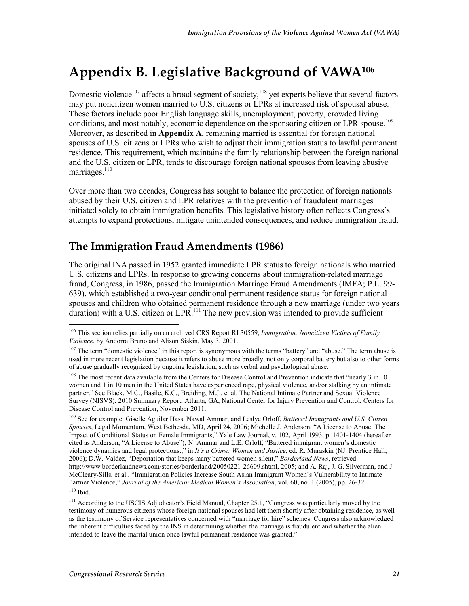## **Appendix B. Legislative Background of VAWA106**

Domestic violence<sup>107</sup> affects a broad segment of society,<sup>108</sup> yet experts believe that several factors may put noncitizen women married to U.S. citizens or LPRs at increased risk of spousal abuse. These factors include poor English language skills, unemployment, poverty, crowded living conditions, and most notably, economic dependence on the sponsoring citizen or LPR spouse.<sup>109</sup> Moreover, as described in **Appendix A**, remaining married is essential for foreign national spouses of U.S. citizens or LPRs who wish to adjust their immigration status to lawful permanent residence. This requirement, which maintains the family relationship between the foreign national and the U.S. citizen or LPR, tends to discourage foreign national spouses from leaving abusive marriages. $110$ 

Over more than two decades, Congress has sought to balance the protection of foreign nationals abused by their U.S. citizen and LPR relatives with the prevention of fraudulent marriages initiated solely to obtain immigration benefits. This legislative history often reflects Congress's attempts to expand protections, mitigate unintended consequences, and reduce immigration fraud.

### **The Immigration Fraud Amendments (1986)**

The original INA passed in 1952 granted immediate LPR status to foreign nationals who married U.S. citizens and LPRs. In response to growing concerns about immigration-related marriage fraud, Congress, in 1986, passed the Immigration Marriage Fraud Amendments (IMFA; P.L. 99- 639), which established a two-year conditional permanent residence status for foreign national spouses and children who obtained permanent residence through a new marriage (under two years  $\frac{d}{dx}$  duration) with a U.S. citizen or LPR.<sup>111</sup> The new provision was intended to provide sufficient

<sup>1</sup> 106 This section relies partially on an archived CRS Report RL30559, *Immigration: Noncitizen Victims of Family Violence*, by Andorra Bruno and Alison Siskin, May 3, 2001.

<sup>&</sup>lt;sup>107</sup> The term "domestic violence" in this report is synonymous with the terms "battery" and "abuse." The term abuse is used in more recent legislation because it refers to abuse more broadly, not only corporal battery but also to other forms of abuse gradually recognized by ongoing legislation, such as verbal and psychological abuse.

<sup>&</sup>lt;sup>108</sup> The most recent data available from the Centers for Disease Control and Prevention indicate that "nearly 3 in 10 women and 1 in 10 men in the United States have experienced rape, physical violence, and/or stalking by an intimate partner." See Black, M.C., Basile, K.C., Breiding, M.J., et al, The National Intimate Partner and Sexual Violence Survey (NISVS): 2010 Summary Report, Atlanta, GA, National Center for Injury Prevention and Control, Centers for Disease Control and Prevention, November 2011.

<sup>109</sup> See for example, Giselle Aguilar Hass, Nawal Ammar, and Leslye Orloff, *Battered Immigrants and U.S. Citizen Spouses*, Legal Momentum, West Bethesda, MD, April 24, 2006; Michelle J. Anderson, "A License to Abuse: The Impact of Conditional Status on Female Immigrants," Yale Law Journal, v. 102, April 1993, p. 1401-1404 (hereafter cited as Anderson, "A License to Abuse"); N. Ammar and L.E. Orloff, "Battered immigrant women's domestic violence dynamics and legal protections.," in *It's a Crime: Women and Justice*, ed. R. Muraskin (NJ: Prentice Hall, 2006); D.W. Valdez, "Deportation that keeps many battered women silent," *Borderland News*, retrieved: http://www.borderlandnews.com/stories/borderland/20050221-26609.shtml, 2005; and A. Raj, J. G. Silverman, and J McCleary-Sills, et al., "Immigration Policies Increase South Asian Immigrant Women's Vulnerability to Intimate Partner Violence," *Journal of the American Medical Women's Association*, vol. 60, no. 1 (2005), pp. 26-32. 110 Ibid.

<sup>&</sup>lt;sup>111</sup> According to the USCIS Adjudicator's Field Manual, Chapter 25.1, "Congress was particularly moved by the testimony of numerous citizens whose foreign national spouses had left them shortly after obtaining residence, as well as the testimony of Service representatives concerned with "marriage for hire" schemes. Congress also acknowledged the inherent difficulties faced by the INS in determining whether the marriage is fraudulent and whether the alien intended to leave the marital union once lawful permanent residence was granted."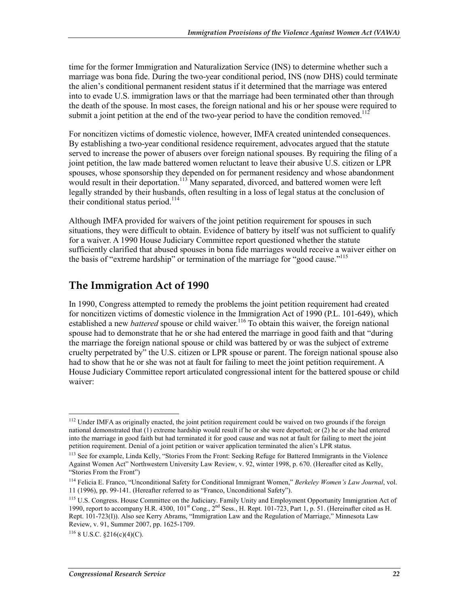time for the former Immigration and Naturalization Service (INS) to determine whether such a marriage was bona fide. During the two-year conditional period, INS (now DHS) could terminate the alien's conditional permanent resident status if it determined that the marriage was entered into to evade U.S. immigration laws or that the marriage had been terminated other than through the death of the spouse. In most cases, the foreign national and his or her spouse were required to submit a joint petition at the end of the two-year period to have the condition removed.<sup>112</sup>

For noncitizen victims of domestic violence, however, IMFA created unintended consequences. By establishing a two-year conditional residence requirement, advocates argued that the statute served to increase the power of abusers over foreign national spouses. By requiring the filing of a joint petition, the law made battered women reluctant to leave their abusive U.S. citizen or LPR spouses, whose sponsorship they depended on for permanent residency and whose abandonment would result in their deportation.<sup>113</sup> Many separated, divorced, and battered women were left legally stranded by their husbands, often resulting in a loss of legal status at the conclusion of their conditional status period.<sup>114</sup>

Although IMFA provided for waivers of the joint petition requirement for spouses in such situations, they were difficult to obtain. Evidence of battery by itself was not sufficient to qualify for a waiver. A 1990 House Judiciary Committee report questioned whether the statute sufficiently clarified that abused spouses in bona fide marriages would receive a waiver either on the basis of "extreme hardship" or termination of the marriage for "good cause."<sup>115</sup>

### **The Immigration Act of 1990**

In 1990, Congress attempted to remedy the problems the joint petition requirement had created for noncitizen victims of domestic violence in the Immigration Act of 1990 (P.L. 101-649), which established a new *battered* spouse or child waiver.<sup>116</sup> To obtain this waiver, the foreign national spouse had to demonstrate that he or she had entered the marriage in good faith and that "during the marriage the foreign national spouse or child was battered by or was the subject of extreme cruelty perpetrated by" the U.S. citizen or LPR spouse or parent. The foreign national spouse also had to show that he or she was not at fault for failing to meet the joint petition requirement. A House Judiciary Committee report articulated congressional intent for the battered spouse or child waiver:

<u>.</u>

 $112$  Under IMFA as originally enacted, the joint petition requirement could be waived on two grounds if the foreign national demonstrated that (1) extreme hardship would result if he or she were deported; or (2) he or she had entered into the marriage in good faith but had terminated it for good cause and was not at fault for failing to meet the joint petition requirement. Denial of a joint petition or waiver application terminated the alien's LPR status.

<sup>&</sup>lt;sup>113</sup> See for example, Linda Kelly, "Stories From the Front: Seeking Refuge for Battered Immigrants in the Violence Against Women Act" Northwestern University Law Review, v. 92, winter 1998, p. 670. (Hereafter cited as Kelly, "Stories From the Front")

<sup>114</sup> Felicia E. Franco, "Unconditional Safety for Conditional Immigrant Women," *Berkeley Women's Law Journal*, vol. 11 (1996), pp. 99-141. (Hereafter referred to as "Franco, Unconditional Safety").

<sup>&</sup>lt;sup>115</sup> U.S. Congress. House Committee on the Judiciary. Family Unity and Employment Opportunity Immigration Act of 1990, report to accompany H.R. 4300, 101<sup>st</sup> Cong., 2<sup>nd</sup> Sess., H. Rept. 101-723, Part 1, p. 51. (Hereinafter cited as H. Rept. 101-723(I)). Also see Kerry Abrams, "Immigration Law and the Regulation of Marriage," Minnesota Law Review, v. 91, Summer 2007, pp. 1625-1709.

 $116$  8 U.S.C.  $$216(c)(4)(C)$ .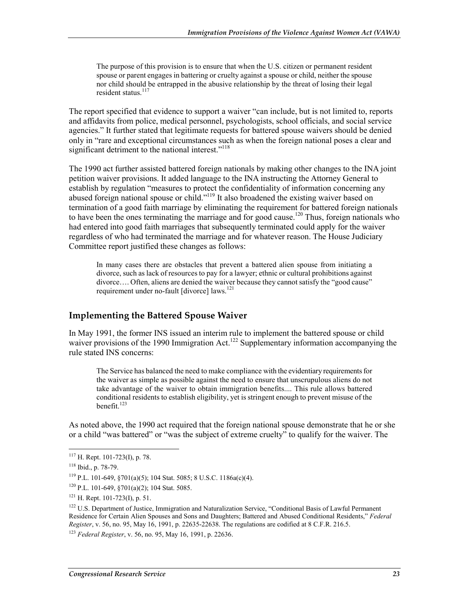The purpose of this provision is to ensure that when the U.S. citizen or permanent resident spouse or parent engages in battering or cruelty against a spouse or child, neither the spouse nor child should be entrapped in the abusive relationship by the threat of losing their legal resident status.<sup>117</sup>

The report specified that evidence to support a waiver "can include, but is not limited to, reports and affidavits from police, medical personnel, psychologists, school officials, and social service agencies." It further stated that legitimate requests for battered spouse waivers should be denied only in "rare and exceptional circumstances such as when the foreign national poses a clear and significant detriment to the national interest."<sup>118</sup>

The 1990 act further assisted battered foreign nationals by making other changes to the INA joint petition waiver provisions. It added language to the INA instructing the Attorney General to establish by regulation "measures to protect the confidentiality of information concerning any abused foreign national spouse or child."<sup>119</sup> It also broadened the existing waiver based on termination of a good faith marriage by eliminating the requirement for battered foreign nationals to have been the ones terminating the marriage and for good cause.<sup>120</sup> Thus, foreign nationals who had entered into good faith marriages that subsequently terminated could apply for the waiver regardless of who had terminated the marriage and for whatever reason. The House Judiciary Committee report justified these changes as follows:

In many cases there are obstacles that prevent a battered alien spouse from initiating a divorce, such as lack of resources to pay for a lawyer; ethnic or cultural prohibitions against divorce…. Often, aliens are denied the waiver because they cannot satisfy the "good cause" requirement under no-fault [divorce] laws.<sup>121</sup>

#### **Implementing the Battered Spouse Waiver**

In May 1991, the former INS issued an interim rule to implement the battered spouse or child waiver provisions of the 1990 Immigration Act.<sup>122</sup> Supplementary information accompanying the rule stated INS concerns:

The Service has balanced the need to make compliance with the evidentiary requirements for the waiver as simple as possible against the need to ensure that unscrupulous aliens do not take advantage of the waiver to obtain immigration benefits.... This rule allows battered conditional residents to establish eligibility, yet is stringent enough to prevent misuse of the benefit.<sup>123</sup>

As noted above, the 1990 act required that the foreign national spouse demonstrate that he or she or a child "was battered" or "was the subject of extreme cruelty" to qualify for the waiver. The

 $117$  H. Rept. 101-723(I), p. 78.

<sup>118</sup> Ibid., p. 78-79.

<sup>&</sup>lt;sup>119</sup> P.L. 101-649, §701(a)(5); 104 Stat. 5085; 8 U.S.C. 1186a(c)(4).

<sup>120</sup> P.L. 101-649, §701(a)(2); 104 Stat. 5085.

 $121$  H. Rept. 101-723(I), p. 51.

<sup>&</sup>lt;sup>122</sup> U.S. Department of Justice, Immigration and Naturalization Service, "Conditional Basis of Lawful Permanent Residence for Certain Alien Spouses and Sons and Daughters; Battered and Abused Conditional Residents," *Federal Register*, v. 56, no. 95, May 16, 1991, p. 22635-22638. The regulations are codified at 8 C.F.R. 216.5.

<sup>123</sup> *Federal Register*, v. 56, no. 95, May 16, 1991, p. 22636.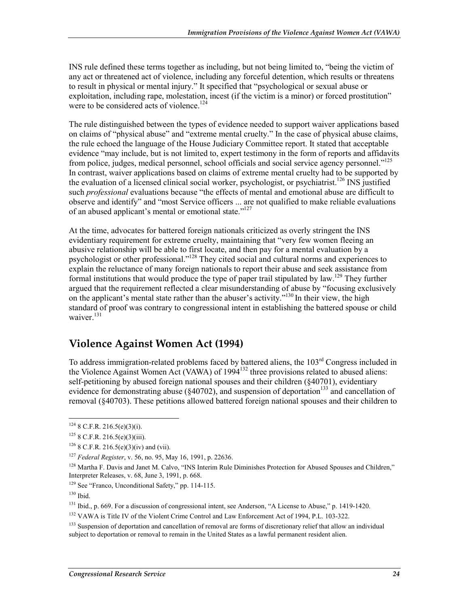INS rule defined these terms together as including, but not being limited to, "being the victim of any act or threatened act of violence, including any forceful detention, which results or threatens to result in physical or mental injury." It specified that "psychological or sexual abuse or exploitation, including rape, molestation, incest (if the victim is a minor) or forced prostitution" were to be considered acts of violence.<sup>124</sup>

The rule distinguished between the types of evidence needed to support waiver applications based on claims of "physical abuse" and "extreme mental cruelty." In the case of physical abuse claims, the rule echoed the language of the House Judiciary Committee report. It stated that acceptable evidence "may include, but is not limited to, expert testimony in the form of reports and affidavits from police, judges, medical personnel, school officials and social service agency personnel."125 In contrast, waiver applications based on claims of extreme mental cruelty had to be supported by the evaluation of a licensed clinical social worker, psychologist, or psychiatrist.<sup>126</sup> INS justified such *professional* evaluations because "the effects of mental and emotional abuse are difficult to observe and identify" and "most Service officers ... are not qualified to make reliable evaluations of an abused applicant's mental or emotional state."<sup>127</sup>

At the time, advocates for battered foreign nationals criticized as overly stringent the INS evidentiary requirement for extreme cruelty, maintaining that "very few women fleeing an abusive relationship will be able to first locate, and then pay for a mental evaluation by a psychologist or other professional."128 They cited social and cultural norms and experiences to explain the reluctance of many foreign nationals to report their abuse and seek assistance from formal institutions that would produce the type of paper trail stipulated by law.<sup>129</sup> They further argued that the requirement reflected a clear misunderstanding of abuse by "focusing exclusively on the applicant's mental state rather than the abuser's activity."<sup>130</sup> In their view, the high standard of proof was contrary to congressional intent in establishing the battered spouse or child waiver $131$ 

### **Violence Against Women Act (1994)**

To address immigration-related problems faced by battered aliens, the 103rd Congress included in the Violence Against Women Act (VAWA) of 1994<sup>132</sup> three provisions related to abused aliens: self-petitioning by abused foreign national spouses and their children (§40701), evidentiary evidence for demonstrating abuse ( $\S 40702$ ), and suspension of deportation<sup>133</sup> and cancellation of removal (§40703). These petitions allowed battered foreign national spouses and their children to

 $124$  8 C.F.R. 216.5(e)(3)(i).

 $125$  8 C.F.R. 216.5(e)(3)(iii).

 $126$  8 C.F.R. 216.5(e)(3)(iv) and (vii).

<sup>127</sup> *Federal Register*, v. 56, no. 95, May 16, 1991, p. 22636.

<sup>&</sup>lt;sup>128</sup> Martha F. Davis and Janet M. Calvo, "INS Interim Rule Diminishes Protection for Abused Spouses and Children," Interpreter Releases, v. 68, June 3, 1991, p. 668.

<sup>129</sup> See "Franco, Unconditional Safety," pp. 114-115.

 $130$  Ibid.

<sup>&</sup>lt;sup>131</sup> Ibid., p. 669. For a discussion of congressional intent, see Anderson, "A License to Abuse," p. 1419-1420.

<sup>&</sup>lt;sup>132</sup> VAWA is Title IV of the Violent Crime Control and Law Enforcement Act of 1994, P.L. 103-322.

<sup>&</sup>lt;sup>133</sup> Suspension of deportation and cancellation of removal are forms of discretionary relief that allow an individual subject to deportation or removal to remain in the United States as a lawful permanent resident alien.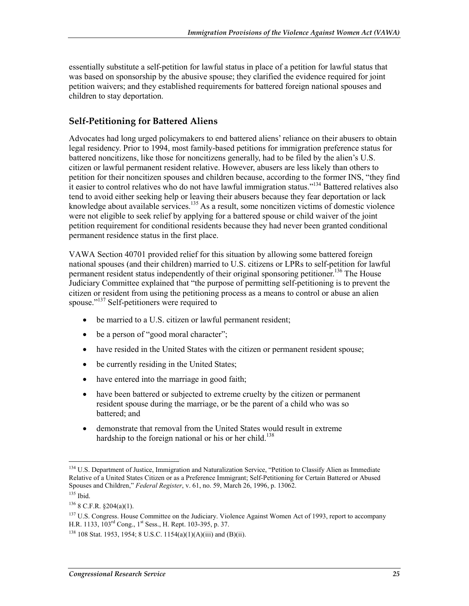essentially substitute a self-petition for lawful status in place of a petition for lawful status that was based on sponsorship by the abusive spouse; they clarified the evidence required for joint petition waivers; and they established requirements for battered foreign national spouses and children to stay deportation.

### **Self-Petitioning for Battered Aliens**

Advocates had long urged policymakers to end battered aliens' reliance on their abusers to obtain legal residency. Prior to 1994, most family-based petitions for immigration preference status for battered noncitizens, like those for noncitizens generally, had to be filed by the alien's U.S. citizen or lawful permanent resident relative. However, abusers are less likely than others to petition for their noncitizen spouses and children because, according to the former INS, "they find it easier to control relatives who do not have lawful immigration status."134 Battered relatives also tend to avoid either seeking help or leaving their abusers because they fear deportation or lack knowledge about available services.<sup>135</sup> As a result, some noncitizen victims of domestic violence were not eligible to seek relief by applying for a battered spouse or child waiver of the joint petition requirement for conditional residents because they had never been granted conditional permanent residence status in the first place.

VAWA Section 40701 provided relief for this situation by allowing some battered foreign national spouses (and their children) married to U.S. citizens or LPRs to self-petition for lawful permanent resident status independently of their original sponsoring petitioner.<sup>136</sup> The House Judiciary Committee explained that "the purpose of permitting self-petitioning is to prevent the citizen or resident from using the petitioning process as a means to control or abuse an alien spouse."137 Self-petitioners were required to

- be married to a U.S. citizen or lawful permanent resident;
- be a person of "good moral character";
- have resided in the United States with the citizen or permanent resident spouse;
- be currently residing in the United States;
- have entered into the marriage in good faith;
- have been battered or subjected to extreme cruelty by the citizen or permanent resident spouse during the marriage, or be the parent of a child who was so battered; and
- demonstrate that removal from the United States would result in extreme hardship to the foreign national or his or her child.<sup>138</sup>

<sup>1</sup> <sup>134</sup> U.S. Department of Justice, Immigration and Naturalization Service, "Petition to Classify Alien as Immediate Relative of a United States Citizen or as a Preference Immigrant; Self-Petitioning for Certain Battered or Abused Spouses and Children," *Federal Register*, v. 61, no. 59, March 26, 1996, p. 13062.

 $135$  Ibid.

 $136$  8 C.F.R. §204(a)(1).

<sup>&</sup>lt;sup>137</sup> U.S. Congress. House Committee on the Judiciary. Violence Against Women Act of 1993, report to accompany H.R. 1133, 103<sup>rd</sup> Cong., 1<sup>st</sup> Sess., H. Rept. 103-395, p. 37.

 $138$  108 Stat. 1953, 1954; 8 U.S.C. 1154(a)(1)(A)(iii) and (B)(ii).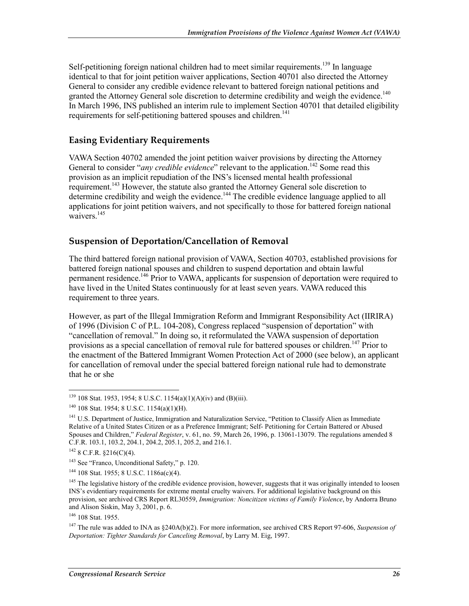Self-petitioning foreign national children had to meet similar requirements.<sup>139</sup> In language identical to that for joint petition waiver applications, Section 40701 also directed the Attorney General to consider any credible evidence relevant to battered foreign national petitions and granted the Attorney General sole discretion to determine credibility and weigh the evidence.<sup>140</sup> In March 1996, INS published an interim rule to implement Section 40701 that detailed eligibility requirements for self-petitioning battered spouses and children.<sup>141</sup>

#### **Easing Evidentiary Requirements**

VAWA Section 40702 amended the joint petition waiver provisions by directing the Attorney General to consider "*any credible evidence*" relevant to the application.<sup>142</sup> Some read this provision as an implicit repudiation of the INS's licensed mental health professional requirement.<sup>143</sup> However, the statute also granted the Attorney General sole discretion to determine credibility and weigh the evidence.<sup>144</sup> The credible evidence language applied to all applications for joint petition waivers, and not specifically to those for battered foreign national waivers.<sup>145</sup>

#### **Suspension of Deportation/Cancellation of Removal**

The third battered foreign national provision of VAWA, Section 40703, established provisions for battered foreign national spouses and children to suspend deportation and obtain lawful permanent residence.<sup>146</sup> Prior to VAWA, applicants for suspension of deportation were required to have lived in the United States continuously for at least seven years. VAWA reduced this requirement to three years.

However, as part of the Illegal Immigration Reform and Immigrant Responsibility Act (IIRIRA) of 1996 (Division C of P.L. 104-208), Congress replaced "suspension of deportation" with "cancellation of removal." In doing so, it reformulated the VAWA suspension of deportation provisions as a special cancellation of removal rule for battered spouses or children.<sup>147</sup> Prior to the enactment of the Battered Immigrant Women Protection Act of 2000 (see below), an applicant for cancellation of removal under the special battered foreign national rule had to demonstrate that he or she

 $139$  108 Stat. 1953, 1954; 8 U.S.C. 1154(a)(1)(A)(iv) and (B)(iii).

 $140$  108 Stat. 1954; 8 U.S.C. 1154(a)(1)(H).

<sup>&</sup>lt;sup>141</sup> U.S. Department of Justice, Immigration and Naturalization Service, "Petition to Classify Alien as Immediate Relative of a United States Citizen or as a Preference Immigrant; Self- Petitioning for Certain Battered or Abused Spouses and Children," *Federal Register*, v. 61, no. 59, March 26, 1996, p. 13061-13079. The regulations amended 8 C.F.R. 103.1, 103.2, 204.1, 204.2, 205.1, 205.2, and 216.1.

 $142$  8 C.F.R.  $$216(C)(4)$ .

<sup>143</sup> See "Franco, Unconditional Safety," p. 120.

<sup>144 108</sup> Stat. 1955; 8 U.S.C. 1186a(c)(4).

<sup>&</sup>lt;sup>145</sup> The legislative history of the credible evidence provision, however, suggests that it was originally intended to loosen INS's evidentiary requirements for extreme mental cruelty waivers. For additional legislative background on this provision, see archived CRS Report RL30559, *Immigration: Noncitizen victims of Family Violence*, by Andorra Bruno and Alison Siskin, May 3, 2001, p. 6.

<sup>146 108</sup> Stat. 1955.

<sup>147</sup> The rule was added to INA as §240A(b)(2). For more information, see archived CRS Report 97-606, *Suspension of Deportation: Tighter Standards for Canceling Removal*, by Larry M. Eig, 1997.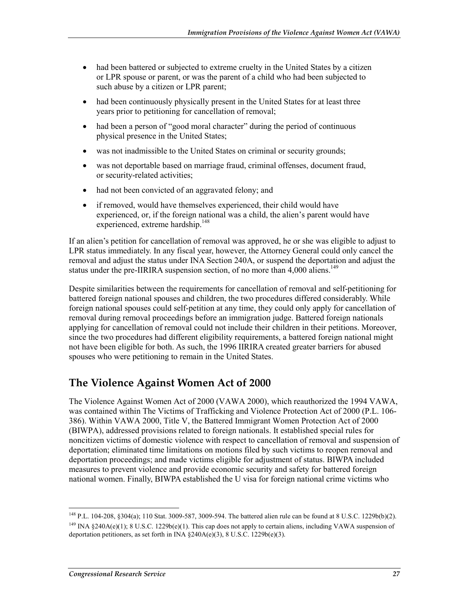- had been battered or subjected to extreme cruelty in the United States by a citizen or LPR spouse or parent, or was the parent of a child who had been subjected to such abuse by a citizen or LPR parent;
- had been continuously physically present in the United States for at least three years prior to petitioning for cancellation of removal;
- had been a person of "good moral character" during the period of continuous physical presence in the United States;
- was not inadmissible to the United States on criminal or security grounds;
- was not deportable based on marriage fraud, criminal offenses, document fraud, or security-related activities;
- had not been convicted of an aggravated felony; and
- if removed, would have themselves experienced, their child would have experienced, or, if the foreign national was a child, the alien's parent would have experienced, extreme hardship.<sup>148</sup>

If an alien's petition for cancellation of removal was approved, he or she was eligible to adjust to LPR status immediately. In any fiscal year, however, the Attorney General could only cancel the removal and adjust the status under INA Section 240A, or suspend the deportation and adjust the status under the pre-IIRIRA suspension section, of no more than  $4,000$  aliens.<sup>149</sup>

Despite similarities between the requirements for cancellation of removal and self-petitioning for battered foreign national spouses and children, the two procedures differed considerably. While foreign national spouses could self-petition at any time, they could only apply for cancellation of removal during removal proceedings before an immigration judge. Battered foreign nationals applying for cancellation of removal could not include their children in their petitions. Moreover, since the two procedures had different eligibility requirements, a battered foreign national might not have been eligible for both. As such, the 1996 IIRIRA created greater barriers for abused spouses who were petitioning to remain in the United States.

### **The Violence Against Women Act of 2000**

The Violence Against Women Act of 2000 (VAWA 2000), which reauthorized the 1994 VAWA, was contained within The Victims of Trafficking and Violence Protection Act of 2000 (P.L. 106- 386). Within VAWA 2000, Title V, the Battered Immigrant Women Protection Act of 2000 (BIWPA), addressed provisions related to foreign nationals. It established special rules for noncitizen victims of domestic violence with respect to cancellation of removal and suspension of deportation; eliminated time limitations on motions filed by such victims to reopen removal and deportation proceedings; and made victims eligible for adjustment of status. BIWPA included measures to prevent violence and provide economic security and safety for battered foreign national women. Finally, BIWPA established the U visa for foreign national crime victims who

<sup>&</sup>lt;sup>148</sup> P.L. 104-208, §304(a); 110 Stat. 3009-587, 3009-594. The battered alien rule can be found at 8 U.S.C. 1229b(b)(2). <sup>149</sup> INA  $\frac{240A(e)(1)}{8}$ ; 8 U.S.C. 1229b(e)(1). This cap does not apply to certain aliens, including VAWA suspension of deportation petitioners, as set forth in  $\overline{INA}$  §240A(e)(3), 8 U.S.C. 1229b(e)(3).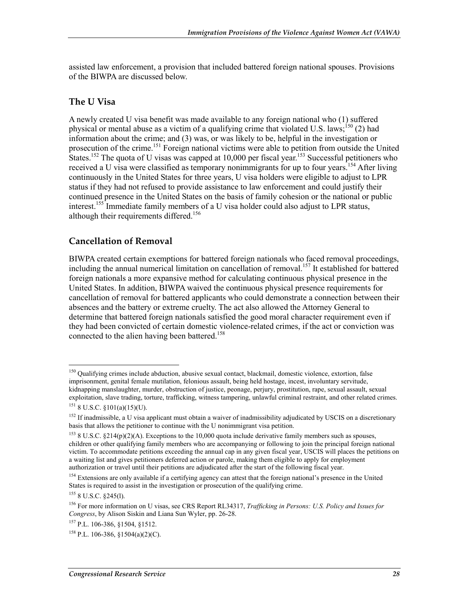assisted law enforcement, a provision that included battered foreign national spouses. Provisions of the BIWPA are discussed below.

#### **The U Visa**

A newly created U visa benefit was made available to any foreign national who (1) suffered physical or mental abuse as a victim of a qualifying crime that violated U.S. laws;<sup>150</sup> (2) had information about the crime; and (3) was, or was likely to be, helpful in the investigation or prosecution of the crime.<sup>151</sup> Foreign national victims were able to petition from outside the United States.<sup>152</sup> The quota of U visas was capped at 10,000 per fiscal year.<sup>153</sup> Successful petitioners who received a U visa were classified as temporary nonimmigrants for up to four years.<sup>154</sup> After living continuously in the United States for three years, U visa holders were eligible to adjust to LPR status if they had not refused to provide assistance to law enforcement and could justify their continued presence in the United States on the basis of family cohesion or the national or public interest.<sup>155</sup> Immediate family members of a U visa holder could also adjust to LPR status, although their requirements differed.<sup>156</sup>

#### **Cancellation of Removal**

BIWPA created certain exemptions for battered foreign nationals who faced removal proceedings, including the annual numerical limitation on cancellation of removal.<sup>157</sup> It established for battered foreign nationals a more expansive method for calculating continuous physical presence in the United States. In addition, BIWPA waived the continuous physical presence requirements for cancellation of removal for battered applicants who could demonstrate a connection between their absences and the battery or extreme cruelty. The act also allowed the Attorney General to determine that battered foreign nationals satisfied the good moral character requirement even if they had been convicted of certain domestic violence-related crimes, if the act or conviction was connected to the alien having been battered.<sup>158</sup>

<u>.</u>

<sup>&</sup>lt;sup>150</sup> Qualifying crimes include abduction, abusive sexual contact, blackmail, domestic violence, extortion, false imprisonment, genital female mutilation, felonious assault, being held hostage, incest, involuntary servitude, kidnapping manslaughter, murder, obstruction of justice, peonage, perjury, prostitution, rape, sexual assault, sexual exploitation, slave trading, torture, trafficking, witness tampering, unlawful criminal restraint, and other related crimes.  $151$  8 U.S.C. §101(a)(15)(U).

 $152$  If inadmissible, a U visa applicant must obtain a waiver of inadmissibility adjudicated by USCIS on a discretionary basis that allows the petitioner to continue with the U nonimmigrant visa petition.

<sup>&</sup>lt;sup>153</sup> 8 U.S.C. §214(p)(2)(A). Exceptions to the 10,000 quota include derivative family members such as spouses, children or other qualifying family members who are accompanying or following to join the principal foreign national victim. To accommodate petitions exceeding the annual cap in any given fiscal year, USCIS will places the petitions on a waiting list and gives petitioners deferred action or parole, making them eligible to apply for employment authorization or travel until their petitions are adjudicated after the start of the following fiscal year.

<sup>&</sup>lt;sup>154</sup> Extensions are only available if a certifying agency can attest that the foreign national's presence in the United States is required to assist in the investigation or prosecution of the qualifying crime.

 $155$  8 U.S.C.  $$245(l)$ .

<sup>156</sup> For more information on U visas, see CRS Report RL34317, *Trafficking in Persons: U.S. Policy and Issues for Congress*, by Alison Siskin and Liana Sun Wyler, pp. 26-28.

<sup>157</sup> P.L. 106-386, §1504, §1512.

<sup>&</sup>lt;sup>158</sup> P.L. 106-386, §1504(a)(2)(C).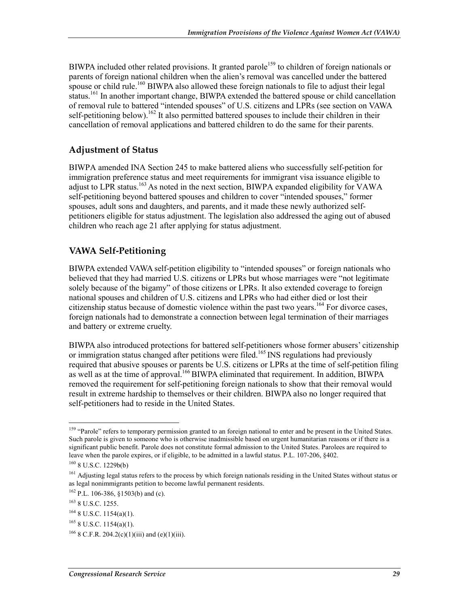BIWPA included other related provisions. It granted parole<sup>159</sup> to children of foreign nationals or parents of foreign national children when the alien's removal was cancelled under the battered spouse or child rule.<sup>160</sup> BIWPA also allowed these foreign nationals to file to adjust their legal status.<sup>161</sup> In another important change, BIWPA extended the battered spouse or child cancellation of removal rule to battered "intended spouses" of U.S. citizens and LPRs (see section on VAWA self-petitioning below).<sup>162</sup> It also permitted battered spouses to include their children in their cancellation of removal applications and battered children to do the same for their parents.

### **Adjustment of Status**

BIWPA amended INA Section 245 to make battered aliens who successfully self-petition for immigration preference status and meet requirements for immigrant visa issuance eligible to adjust to LPR status.<sup>163</sup> As noted in the next section, BIWPA expanded eligibility for VAWA self-petitioning beyond battered spouses and children to cover "intended spouses," former spouses, adult sons and daughters, and parents, and it made these newly authorized selfpetitioners eligible for status adjustment. The legislation also addressed the aging out of abused children who reach age 21 after applying for status adjustment.

### **VAWA Self-Petitioning**

BIWPA extended VAWA self-petition eligibility to "intended spouses" or foreign nationals who believed that they had married U.S. citizens or LPRs but whose marriages were "not legitimate solely because of the bigamy" of those citizens or LPRs. It also extended coverage to foreign national spouses and children of U.S. citizens and LPRs who had either died or lost their citizenship status because of domestic violence within the past two years.<sup>164</sup> For divorce cases, foreign nationals had to demonstrate a connection between legal termination of their marriages and battery or extreme cruelty.

BIWPA also introduced protections for battered self-petitioners whose former abusers' citizenship or immigration status changed after petitions were filed.<sup>165</sup> INS regulations had previously required that abusive spouses or parents be U.S. citizens or LPRs at the time of self-petition filing as well as at the time of approval.<sup>166</sup> BIWPA eliminated that requirement. In addition, BIWPA removed the requirement for self-petitioning foreign nationals to show that their removal would result in extreme hardship to themselves or their children. BIWPA also no longer required that self-petitioners had to reside in the United States.

<sup>&</sup>lt;sup>159</sup> "Parole" refers to temporary permission granted to an foreign national to enter and be present in the United States. Such parole is given to someone who is otherwise inadmissible based on urgent humanitarian reasons or if there is a significant public benefit. Parole does not constitute formal admission to the United States. Parolees are required to leave when the parole expires, or if eligible, to be admitted in a lawful status. P.L. 107-206, §402.

<sup>160 8</sup> U.S.C. 1229b(b)

<sup>&</sup>lt;sup>161</sup> Adjusting legal status refers to the process by which foreign nationals residing in the United States without status or as legal nonimmigrants petition to become lawful permanent residents.

 $162$  P.L. 106-386, §1503(b) and (c).

<sup>163 8</sup> U.S.C. 1255.

<sup>164 8</sup> U.S.C. 1154(a)(1).

 $165$  8 U.S.C. 1154(a)(1).

 $166$  8 C.F.R. 204.2(c)(1)(iii) and (e)(1)(iii).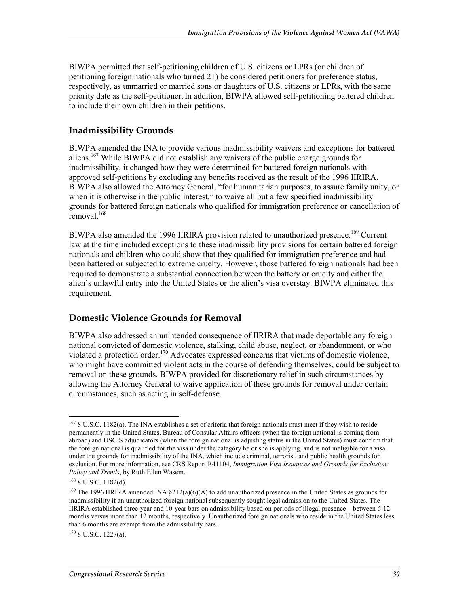BIWPA permitted that self-petitioning children of U.S. citizens or LPRs (or children of petitioning foreign nationals who turned 21) be considered petitioners for preference status, respectively, as unmarried or married sons or daughters of U.S. citizens or LPRs, with the same priority date as the self-petitioner.In addition, BIWPA allowed self-petitioning battered children to include their own children in their petitions.

#### **Inadmissibility Grounds**

BIWPA amended the INA to provide various inadmissibility waivers and exceptions for battered aliens.167 While BIWPA did not establish any waivers of the public charge grounds for inadmissibility, it changed how they were determined for battered foreign nationals with approved self-petitions by excluding any benefits received as the result of the 1996 IIRIRA. BIWPA also allowed the Attorney General, "for humanitarian purposes, to assure family unity, or when it is otherwise in the public interest," to waive all but a few specified inadmissibility grounds for battered foreign nationals who qualified for immigration preference or cancellation of removal.<sup>168</sup>

BIWPA also amended the 1996 IIRIRA provision related to unauthorized presence.<sup>169</sup> Current law at the time included exceptions to these inadmissibility provisions for certain battered foreign nationals and children who could show that they qualified for immigration preference and had been battered or subjected to extreme cruelty. However, those battered foreign nationals had been required to demonstrate a substantial connection between the battery or cruelty and either the alien's unlawful entry into the United States or the alien's visa overstay. BIWPA eliminated this requirement.

#### **Domestic Violence Grounds for Removal**

BIWPA also addressed an unintended consequence of IIRIRA that made deportable any foreign national convicted of domestic violence, stalking, child abuse, neglect, or abandonment, or who violated a protection order.<sup>170</sup> Advocates expressed concerns that victims of domestic violence, who might have committed violent acts in the course of defending themselves, could be subject to removal on these grounds. BIWPA provided for discretionary relief in such circumstances by allowing the Attorney General to waive application of these grounds for removal under certain circumstances, such as acting in self-defense.

<u>.</u>

 $170$  8 U.S.C. 1227(a).

<sup>&</sup>lt;sup>167</sup> 8 U.S.C. 1182(a). The INA establishes a set of criteria that foreign nationals must meet if they wish to reside permanently in the United States. Bureau of Consular Affairs officers (when the foreign national is coming from abroad) and USCIS adjudicators (when the foreign national is adjusting status in the United States) must confirm that the foreign national is qualified for the visa under the category he or she is applying, and is not ineligible for a visa under the grounds for inadmissibility of the INA, which include criminal, terrorist, and public health grounds for exclusion. For more information, see CRS Report R41104, *Immigration Visa Issuances and Grounds for Exclusion: Policy and Trends*, by Ruth Ellen Wasem.

<sup>168 8</sup> U.S.C. 1182(d).

<sup>&</sup>lt;sup>169</sup> The 1996 IIRIRA amended INA §212(a)(6)(A) to add unauthorized presence in the United States as grounds for inadmissibility if an unauthorized foreign national subsequently sought legal admission to the United States. The IIRIRA established three-year and 10-year bars on admissibility based on periods of illegal presence—between 6-12 months versus more than 12 months, respectively. Unauthorized foreign nationals who reside in the United States less than 6 months are exempt from the admissibility bars.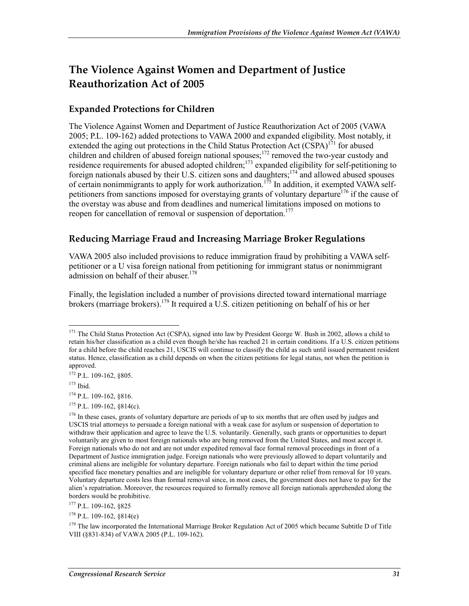## **The Violence Against Women and Department of Justice Reauthorization Act of 2005**

### **Expanded Protections for Children**

The Violence Against Women and Department of Justice Reauthorization Act of 2005 (VAWA 2005; P.L. 109-162) added protections to VAWA 2000 and expanded eligibility. Most notably, it extended the aging out protections in the Child Status Protection Act (CSPA)<sup>171</sup> for abused children and children of abused foreign national spouses;<sup>172</sup> removed the two-year custody and residence requirements for abused adopted children;<sup>173</sup> expanded eligibility for self-petitioning to foreign nationals abused by their U.S. citizen sons and daughters;<sup>174</sup> and allowed abused spouses of certain nonimmigrants to apply for work authorization.<sup>175</sup> In addition, it exempted VAWA selfpetitioners from sanctions imposed for overstaying grants of voluntary departure<sup>176</sup> if the cause of the overstay was abuse and from deadlines and numerical limitations imposed on motions to reopen for cancellation of removal or suspension of deportation.<sup>177</sup>

### **Reducing Marriage Fraud and Increasing Marriage Broker Regulations**

VAWA 2005 also included provisions to reduce immigration fraud by prohibiting a VAWA selfpetitioner or a U visa foreign national from petitioning for immigrant status or nonimmigrant admission on behalf of their abuser.<sup>178</sup>

Finally, the legislation included a number of provisions directed toward international marriage brokers (marriage brokers).<sup>179</sup> It required a U.S. citizen petitioning on behalf of his or her

173 Ibid.

1

174 P.L. 109-162, §816.

 $175$  P.L. 109-162, 8814(c).

177 P.L. 109-162, §825

 $178$  P.L. 109-162,  $814(e)$ 

 $171$  The Child Status Protection Act (CSPA), signed into law by President George W. Bush in 2002, allows a child to retain his/her classification as a child even though he/she has reached 21 in certain conditions. If a U.S. citizen petitions for a child before the child reaches 21, USCIS will continue to classify the child as such until issued permanent resident status. Hence, classification as a child depends on when the citizen petitions for legal status, not when the petition is approved.

<sup>172</sup> P.L. 109-162, §805.

<sup>&</sup>lt;sup>176</sup> In these cases, grants of voluntary departure are periods of up to six months that are often used by judges and USCIS trial attorneys to persuade a foreign national with a weak case for asylum or suspension of deportation to withdraw their application and agree to leave the U.S. voluntarily. Generally, such grants or opportunities to depart voluntarily are given to most foreign nationals who are being removed from the United States, and most accept it. Foreign nationals who do not and are not under expedited removal face formal removal proceedings in front of a Department of Justice immigration judge. Foreign nationals who were previously allowed to depart voluntarily and criminal aliens are ineligible for voluntary departure. Foreign nationals who fail to depart within the time period specified face monetary penalties and are ineligible for voluntary departure or other relief from removal for 10 years. Voluntary departure costs less than formal removal since, in most cases, the government does not have to pay for the alien's repatriation. Moreover, the resources required to formally remove all foreign nationals apprehended along the borders would be prohibitive.

<sup>&</sup>lt;sup>179</sup> The law incorporated the International Marriage Broker Regulation Act of 2005 which became Subtitle D of Title VIII (§831-834) of VAWA 2005 (P.L. 109-162).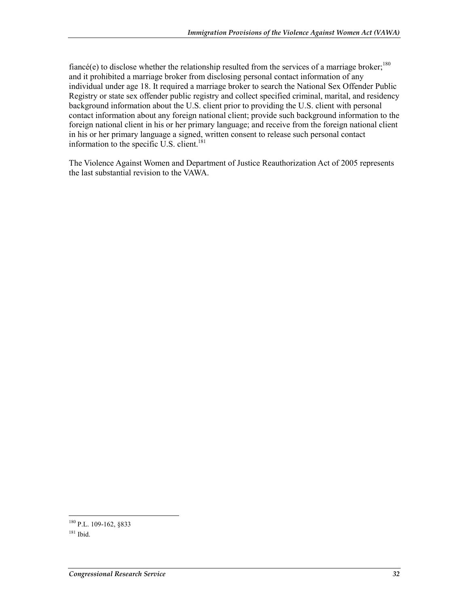fiancé(e) to disclose whether the relationship resulted from the services of a marriage broker;<sup>180</sup> and it prohibited a marriage broker from disclosing personal contact information of any individual under age 18. It required a marriage broker to search the National Sex Offender Public Registry or state sex offender public registry and collect specified criminal, marital, and residency background information about the U.S. client prior to providing the U.S. client with personal contact information about any foreign national client; provide such background information to the foreign national client in his or her primary language; and receive from the foreign national client in his or her primary language a signed, written consent to release such personal contact information to the specific U.S. client.<sup>181</sup>

The Violence Against Women and Department of Justice Reauthorization Act of 2005 represents the last substantial revision to the VAWA.

<sup>1</sup> <sup>180</sup> P.L. 109-162, §833

 $181$  Ibid.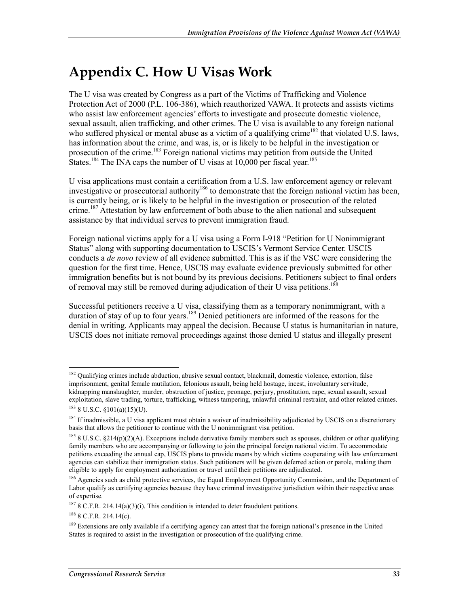# **Appendix C. How U Visas Work**

The U visa was created by Congress as a part of the Victims of Trafficking and Violence Protection Act of 2000 (P.L. 106-386), which reauthorized VAWA. It protects and assists victims who assist law enforcement agencies' efforts to investigate and prosecute domestic violence, sexual assault, alien trafficking, and other crimes. The U visa is available to any foreign national who suffered physical or mental abuse as a victim of a qualifying crime<sup>182</sup> that violated U.S. laws, has information about the crime, and was, is, or is likely to be helpful in the investigation or prosecution of the crime.<sup>183</sup> Foreign national victims may petition from outside the United States.<sup>184</sup> The INA caps the number of U visas at 10,000 per fiscal year.<sup>185</sup>

U visa applications must contain a certification from a U.S. law enforcement agency or relevant investigative or prosecutorial authority<sup>186</sup> to demonstrate that the foreign national victim has been, is currently being, or is likely to be helpful in the investigation or prosecution of the related crime.<sup>187</sup> Attestation by law enforcement of both abuse to the alien national and subsequent assistance by that individual serves to prevent immigration fraud.

Foreign national victims apply for a U visa using a Form I-918 "Petition for U Nonimmigrant Status" along with supporting documentation to USCIS's Vermont Service Center. USCIS conducts a *de novo* review of all evidence submitted. This is as if the VSC were considering the question for the first time. Hence, USCIS may evaluate evidence previously submitted for other immigration benefits but is not bound by its previous decisions. Petitioners subject to final orders of removal may still be removed during adjudication of their U visa petitions.<sup>188</sup>

Successful petitioners receive a U visa, classifying them as a temporary nonimmigrant, with a duration of stay of up to four years.<sup>189</sup> Denied petitioners are informed of the reasons for the denial in writing. Applicants may appeal the decision. Because U status is humanitarian in nature, USCIS does not initiate removal proceedings against those denied U status and illegally present

<u>.</u>

<sup>&</sup>lt;sup>182</sup> Qualifying crimes include abduction, abusive sexual contact, blackmail, domestic violence, extortion, false imprisonment, genital female mutilation, felonious assault, being held hostage, incest, involuntary servitude, kidnapping manslaughter, murder, obstruction of justice, peonage, perjury, prostitution, rape, sexual assault, sexual exploitation, slave trading, torture, trafficking, witness tampering, unlawful criminal restraint, and other related crimes.  $183$  8 U.S.C.  $$101(a)(15)(U)$ .

 $184$  If inadmissible, a U visa applicant must obtain a waiver of inadmissibility adjudicated by USCIS on a discretionary basis that allows the petitioner to continue with the U nonimmigrant visa petition.

 $185$  8 U.S.C. §214(p)(2)(A). Exceptions include derivative family members such as spouses, children or other qualifying family members who are accompanying or following to join the principal foreign national victim. To accommodate petitions exceeding the annual cap, USCIS plans to provide means by which victims cooperating with law enforcement agencies can stabilize their immigration status. Such petitioners will be given deferred action or parole, making them eligible to apply for employment authorization or travel until their petitions are adjudicated.

<sup>&</sup>lt;sup>186</sup> Agencies such as child protective services, the Equal Employment Opportunity Commission, and the Department of Labor qualify as certifying agencies because they have criminal investigative jurisdiction within their respective areas of expertise.

 $187$  8 C.F.R. 214.14(a)(3)(i). This condition is intended to deter fraudulent petitions.

<sup>188 8</sup> C.F.R. 214.14(c).

<sup>&</sup>lt;sup>189</sup> Extensions are only available if a certifying agency can attest that the foreign national's presence in the United States is required to assist in the investigation or prosecution of the qualifying crime.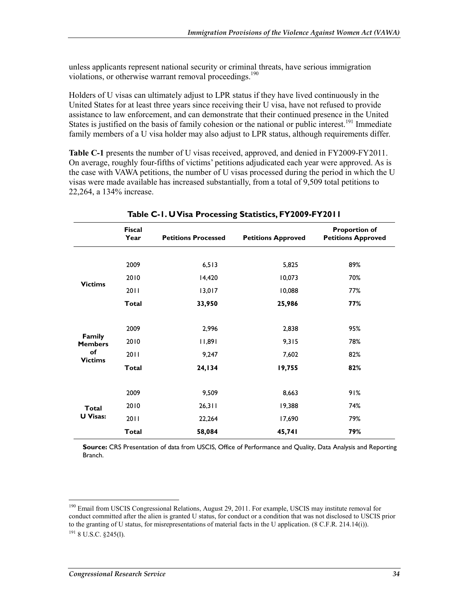unless applicants represent national security or criminal threats, have serious immigration violations, or otherwise warrant removal proceedings.<sup>190</sup>

Holders of U visas can ultimately adjust to LPR status if they have lived continuously in the United States for at least three years since receiving their U visa, have not refused to provide assistance to law enforcement, and can demonstrate that their continued presence in the United States is justified on the basis of family cohesion or the national or public interest.<sup>191</sup> Immediate family members of a U visa holder may also adjust to LPR status, although requirements differ.

**Table C-1** presents the number of U visas received, approved, and denied in FY2009-FY2011. On average, roughly four-fifths of victims' petitions adjudicated each year were approved. As is the case with VAWA petitions, the number of U visas processed during the period in which the U visas were made available has increased substantially, from a total of 9,509 total petitions to 22,264, a 134% increase.

|                          | <b>Fiscal</b><br>Year | <b>Petitions Processed</b> | <b>Petitions Approved</b> | <b>Proportion of</b><br><b>Petitions Approved</b> |
|--------------------------|-----------------------|----------------------------|---------------------------|---------------------------------------------------|
|                          | 2009                  | 6,513                      | 5,825                     | 89%                                               |
|                          | 2010                  | 14,420                     | 10,073                    | 70%                                               |
| <b>Victims</b>           | 2011                  | 13,017                     | 10,088                    | 77%                                               |
|                          | <b>Total</b>          | 33,950                     | 25,986                    | 77%                                               |
|                          |                       |                            |                           |                                                   |
|                          | 2009                  | 2,996                      | 2,838                     | 95%                                               |
| Family<br><b>Members</b> | 2010                  | 11,891                     | 9,315                     | 78%                                               |
| of<br><b>Victims</b>     | 2011                  | 9,247                      | 7,602                     | 82%                                               |
|                          | <b>Total</b>          | 24,134                     | 19,755                    | 82%                                               |
|                          |                       |                            |                           |                                                   |
|                          | 2009                  | 9,509                      | 8,663                     | 91%                                               |
| <b>Total</b>             | 2010                  | 26,311                     | 19,388                    | 74%                                               |
| <b>U</b> Visas:          | 2011                  | 22,264                     | 17,690                    | 79%                                               |
|                          | <b>Total</b>          | 58,084                     | 45,741                    | 79%                                               |

**Table C-1. U Visa Processing Statistics, FY2009-FY2011** 

**Source:** CRS Presentation of data from USCIS, Office of Performance and Quality, Data Analysis and Reporting Branch.

<sup>1</sup> <sup>190</sup> Email from USCIS Congressional Relations, August 29, 2011. For example, USCIS may institute removal for conduct committed after the alien is granted U status, for conduct or a condition that was not disclosed to USCIS prior to the granting of U status, for misrepresentations of material facts in the U application. (8 C.F.R. 214.14(i)).  $^{191}$  8 U.S.C. 8245(1).